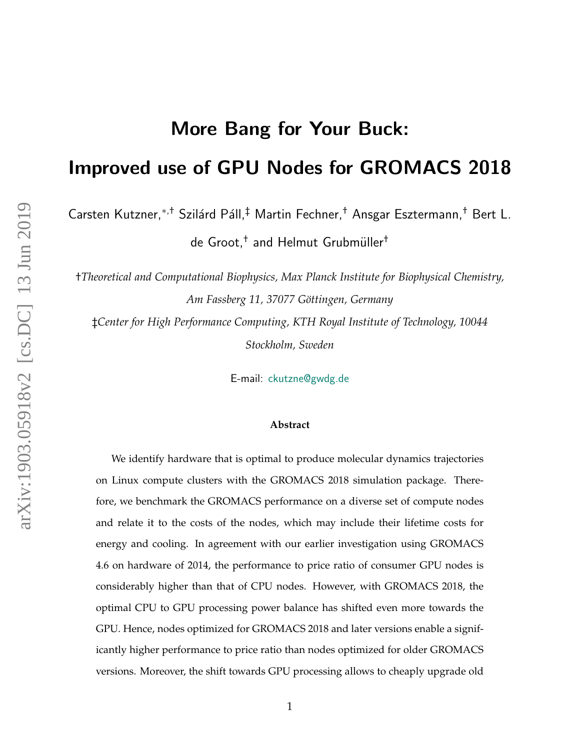# More Bang for Your Buck:

# Improved use of GPU Nodes for GROMACS 2018

Carsten Kutzner,<sup>\*,†</sup> Szilárd Páll,<sup>‡</sup> Martin Fechner,<sup>†</sup> Ansgar Esztermann,<sup>†</sup> Bert L.

de Groot, $^\dagger$  and Helmut Grubmüller $^\dagger$ 

†*Theoretical and Computational Biophysics, Max Planck Institute for Biophysical Chemistry, Am Fassberg 11, 37077 G¨ottingen, Germany*

‡*Center for High Performance Computing, KTH Royal Institute of Technology, 10044 Stockholm, Sweden*

E-mail: <ckutzne@gwdg.de>

#### **Abstract**

We identify hardware that is optimal to produce molecular dynamics trajectories on Linux compute clusters with the GROMACS 2018 simulation package. Therefore, we benchmark the GROMACS performance on a diverse set of compute nodes and relate it to the costs of the nodes, which may include their lifetime costs for energy and cooling. In agreement with our earlier investigation using GROMACS 4.6 on hardware of 2014, the performance to price ratio of consumer GPU nodes is considerably higher than that of CPU nodes. However, with GROMACS 2018, the optimal CPU to GPU processing power balance has shifted even more towards the GPU. Hence, nodes optimized for GROMACS 2018 and later versions enable a significantly higher performance to price ratio than nodes optimized for older GROMACS versions. Moreover, the shift towards GPU processing allows to cheaply upgrade old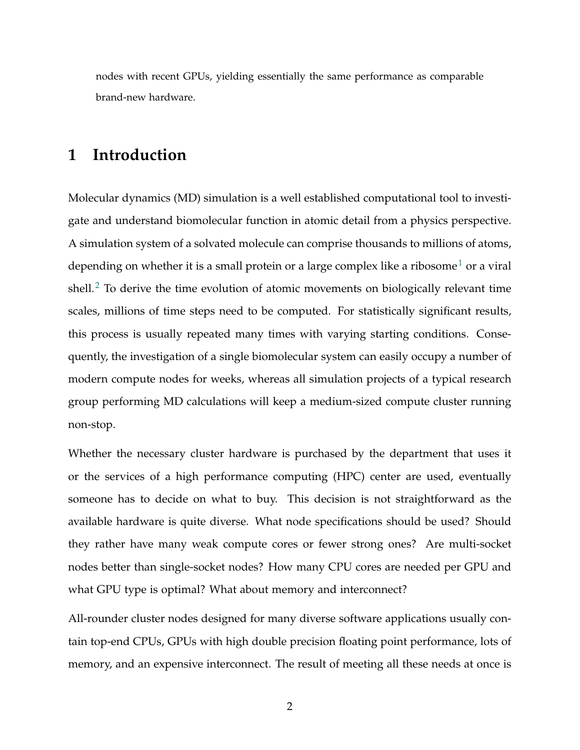nodes with recent GPUs, yielding essentially the same performance as comparable brand-new hardware.

# **1 Introduction**

Molecular dynamics (MD) simulation is a well established computational tool to investigate and understand biomolecular function in atomic detail from a physics perspective. A simulation system of a solvated molecule can comprise thousands to millions of atoms, depending on whether it is a small protein or a large complex like a ribosome<sup>[1](#page-37-0)</sup> or a viral shell.<sup>[2](#page-37-1)</sup> To derive the time evolution of atomic movements on biologically relevant time scales, millions of time steps need to be computed. For statistically significant results, this process is usually repeated many times with varying starting conditions. Consequently, the investigation of a single biomolecular system can easily occupy a number of modern compute nodes for weeks, whereas all simulation projects of a typical research group performing MD calculations will keep a medium-sized compute cluster running non-stop.

Whether the necessary cluster hardware is purchased by the department that uses it or the services of a high performance computing (HPC) center are used, eventually someone has to decide on what to buy. This decision is not straightforward as the available hardware is quite diverse. What node specifications should be used? Should they rather have many weak compute cores or fewer strong ones? Are multi-socket nodes better than single-socket nodes? How many CPU cores are needed per GPU and what GPU type is optimal? What about memory and interconnect?

All-rounder cluster nodes designed for many diverse software applications usually contain top-end CPUs, GPUs with high double precision floating point performance, lots of memory, and an expensive interconnect. The result of meeting all these needs at once is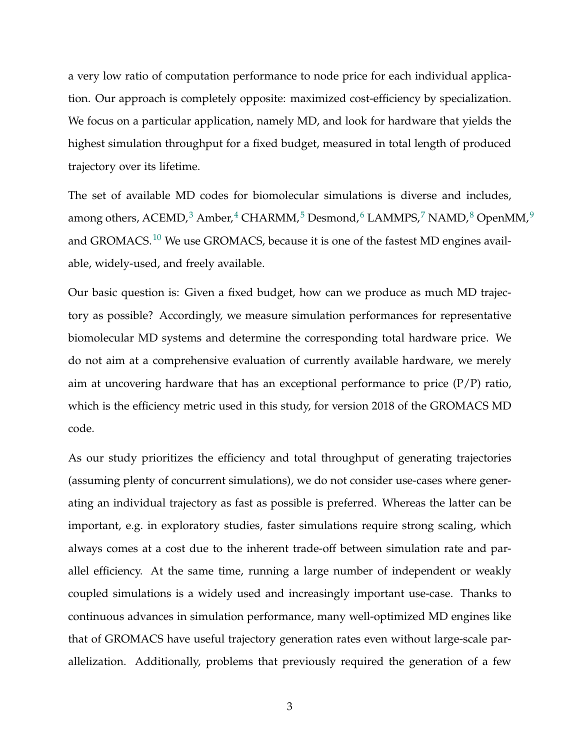a very low ratio of computation performance to node price for each individual application. Our approach is completely opposite: maximized cost-efficiency by specialization. We focus on a particular application, namely MD, and look for hardware that yields the highest simulation throughput for a fixed budget, measured in total length of produced trajectory over its lifetime.

The set of available MD codes for biomolecular simulations is diverse and includes, among others, ACEMD,<sup>[3](#page-37-2)</sup> Amber,<sup>[4](#page-37-3)</sup> CHARMM,<sup>[5](#page-37-4)</sup> Desmond,<sup>[6](#page-37-5)</sup> LAMMPS,<sup>[7](#page-38-0)</sup> NAMD,<sup>[8](#page-38-1)</sup> OpenMM,<sup>[9](#page-38-2)</sup> and GROMACS.<sup>[10](#page-38-3)</sup> We use GROMACS, because it is one of the fastest MD engines available, widely-used, and freely available.

Our basic question is: Given a fixed budget, how can we produce as much MD trajectory as possible? Accordingly, we measure simulation performances for representative biomolecular MD systems and determine the corresponding total hardware price. We do not aim at a comprehensive evaluation of currently available hardware, we merely aim at uncovering hardware that has an exceptional performance to price  $(P/P)$  ratio, which is the efficiency metric used in this study, for version 2018 of the GROMACS MD code.

As our study prioritizes the efficiency and total throughput of generating trajectories (assuming plenty of concurrent simulations), we do not consider use-cases where generating an individual trajectory as fast as possible is preferred. Whereas the latter can be important, e.g. in exploratory studies, faster simulations require strong scaling, which always comes at a cost due to the inherent trade-off between simulation rate and parallel efficiency. At the same time, running a large number of independent or weakly coupled simulations is a widely used and increasingly important use-case. Thanks to continuous advances in simulation performance, many well-optimized MD engines like that of GROMACS have useful trajectory generation rates even without large-scale parallelization. Additionally, problems that previously required the generation of a few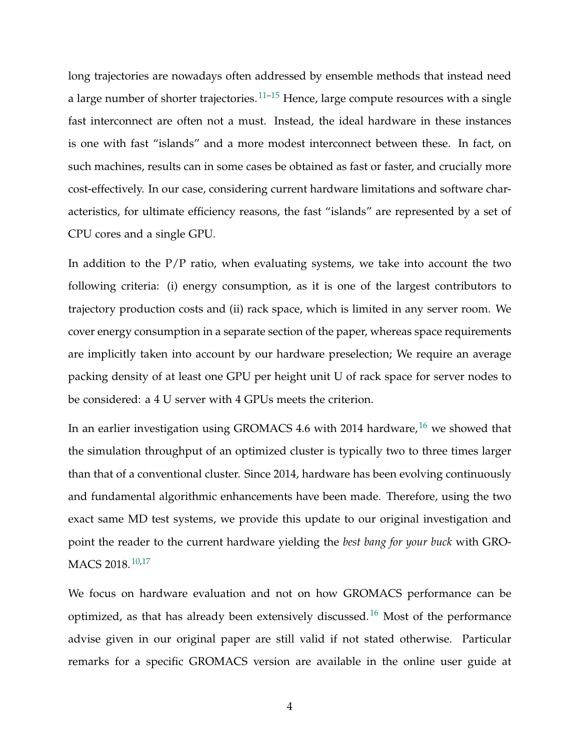long trajectories are nowadays often addressed by ensemble methods that instead need a large number of shorter trajectories.<sup>[11–](#page-38-4)[15](#page-39-0)</sup> Hence, large compute resources with a single fast interconnect are often not a must. Instead, the ideal hardware in these instances is one with fast "islands" and a more modest interconnect between these. In fact, on such machines, results can in some cases be obtained as fast or faster, and crucially more cost-effectively. In our case, considering current hardware limitations and software characteristics, for ultimate efficiency reasons, the fast "islands" are represented by a set of CPU cores and a single GPU.

In addition to the  $P/P$  ratio, when evaluating systems, we take into account the two following criteria: (i) energy consumption, as it is one of the largest contributors to trajectory production costs and (ii) rack space, which is limited in any server room. We cover energy consumption in a separate section of the paper, whereas space requirements are implicitly taken into account by our hardware preselection; We require an average packing density of at least one GPU per height unit U of rack space for server nodes to be considered: a 4 U server with 4 GPUs meets the criterion.

In an earlier investigation using GROMACS 4.6 with 2014 hardware,  $^{16}$  $^{16}$  $^{16}$  we showed that the simulation throughput of an optimized cluster is typically two to three times larger than that of a conventional cluster. Since 2014, hardware has been evolving continuously and fundamental algorithmic enhancements have been made. Therefore, using the two exact same MD test systems, we provide this update to our original investigation and point the reader to the current hardware yielding the *best bang for your buck* with GRO-MACS 2018.<sup>[10,](#page-38-3)[17](#page-39-2)</sup>

We focus on hardware evaluation and not on how GROMACS performance can be optimized, as that has already been extensively discussed.[16](#page-39-1) Most of the performance advise given in our original paper are still valid if not stated otherwise. Particular remarks for a specific GROMACS version are available in the online user guide at

4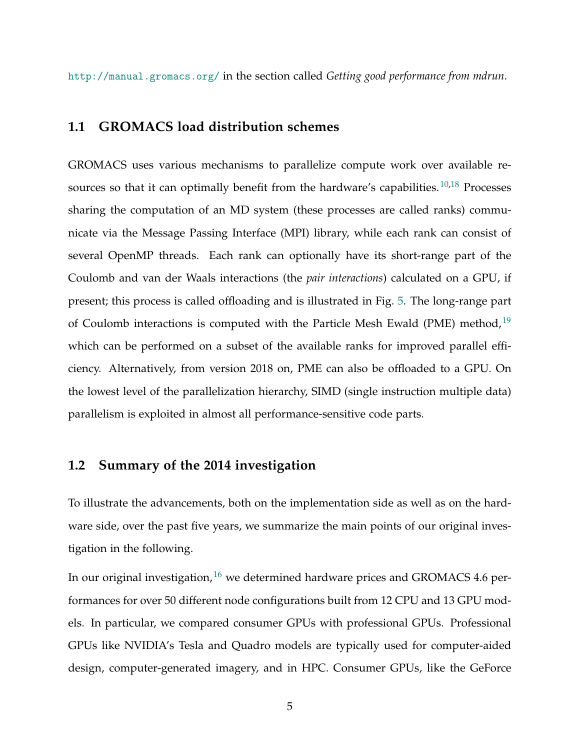<http://manual.gromacs.org/> in the section called *Getting good performance from mdrun*.

#### **1.1 GROMACS load distribution schemes**

GROMACS uses various mechanisms to parallelize compute work over available re-sources so that it can optimally benefit from the hardware's capabilities.<sup>[10,](#page-38-3)[18](#page-39-3)</sup> Processes sharing the computation of an MD system (these processes are called ranks) communicate via the Message Passing Interface (MPI) library, while each rank can consist of several OpenMP threads. Each rank can optionally have its short-range part of the Coulomb and van der Waals interactions (the *pair interactions*) calculated on a GPU, if present; this process is called offloading and is illustrated in Fig. [5.](#page-14-0) The long-range part of Coulomb interactions is computed with the Particle Mesh Ewald (PME) method,  $19$ which can be performed on a subset of the available ranks for improved parallel efficiency. Alternatively, from version 2018 on, PME can also be offloaded to a GPU. On the lowest level of the parallelization hierarchy, SIMD (single instruction multiple data) parallelism is exploited in almost all performance-sensitive code parts.

#### **1.2 Summary of the 2014 investigation**

To illustrate the advancements, both on the implementation side as well as on the hardware side, over the past five years, we summarize the main points of our original investigation in the following.

In our original investigation,  $16$  we determined hardware prices and GROMACS 4.6 performances for over 50 different node configurations built from 12 CPU and 13 GPU models. In particular, we compared consumer GPUs with professional GPUs. Professional GPUs like NVIDIA's Tesla and Quadro models are typically used for computer-aided design, computer-generated imagery, and in HPC. Consumer GPUs, like the GeForce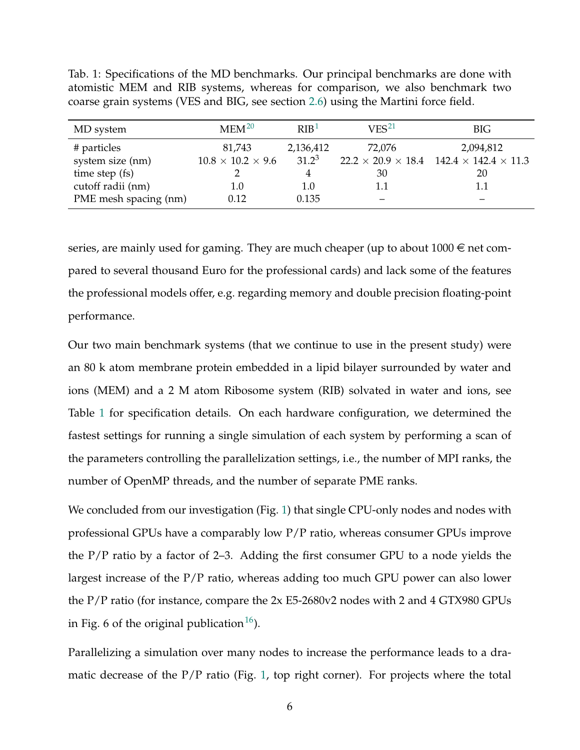| MD system             | $MEM^{20}$                    | RIB <sup>1</sup> | VES <sup>21</sup> | <b>BIG</b>                                                        |
|-----------------------|-------------------------------|------------------|-------------------|-------------------------------------------------------------------|
| # particles           | 81,743                        | 2,136,412        | 72,076            | 2,094,812                                                         |
| system size (nm)      | $10.8 \times 10.2 \times 9.6$ | $31.2^3$         |                   | $22.2 \times 20.9 \times 18.4$ 142.4 $\times$ 142.4 $\times$ 11.3 |
| time step (fs)        |                               | 4                | 30                | 20                                                                |
| cutoff radii (nm)     | 1.0                           | 1.0              | 1.1               | 1.1                                                               |
| PME mesh spacing (nm) | 0.12                          | 0.135            |                   |                                                                   |

<span id="page-5-0"></span>Tab. 1: Specifications of the MD benchmarks. Our principal benchmarks are done with atomistic MEM and RIB systems, whereas for comparison, we also benchmark two coarse grain systems (VES and BIG, see section [2.6\)](#page-20-0) using the Martini force field.

series, are mainly used for gaming. They are much cheaper (up to about  $1000 \in \text{net com-}$ pared to several thousand Euro for the professional cards) and lack some of the features the professional models offer, e.g. regarding memory and double precision floating-point performance.

Our two main benchmark systems (that we continue to use in the present study) were an 80 k atom membrane protein embedded in a lipid bilayer surrounded by water and ions (MEM) and a 2 M atom Ribosome system (RIB) solvated in water and ions, see Table [1](#page-5-0) for specification details. On each hardware configuration, we determined the fastest settings for running a single simulation of each system by performing a scan of the parameters controlling the parallelization settings, i.e., the number of MPI ranks, the number of OpenMP threads, and the number of separate PME ranks.

We concluded from our investigation (Fig. [1\)](#page-6-0) that single CPU-only nodes and nodes with professional GPUs have a comparably low P/P ratio, whereas consumer GPUs improve the P/P ratio by a factor of 2–3. Adding the first consumer GPU to a node yields the largest increase of the P/P ratio, whereas adding too much GPU power can also lower the P/P ratio (for instance, compare the 2x E5-2680v2 nodes with 2 and 4 GTX980 GPUs in Fig. 6 of the original publication  $16$ ).

Parallelizing a simulation over many nodes to increase the performance leads to a dramatic decrease of the  $P/P$  ratio (Fig. [1,](#page-6-0) top right corner). For projects where the total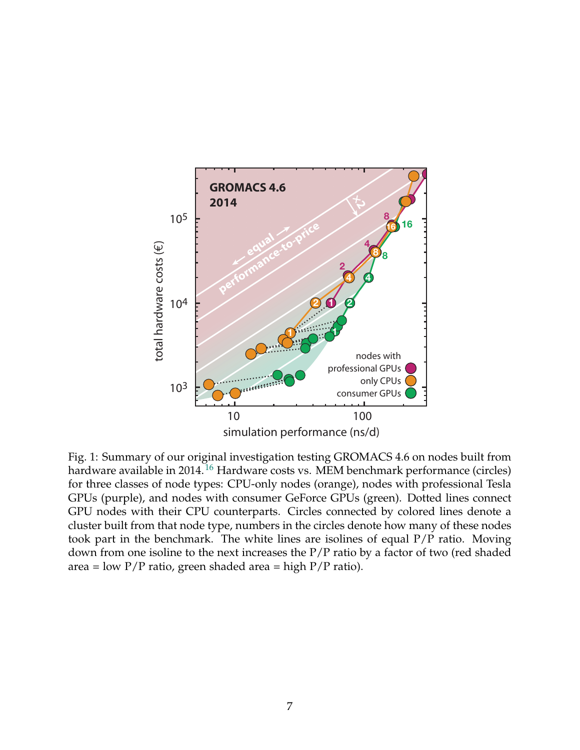<span id="page-6-0"></span>

Fig. 1: Summary of our original investigation testing GROMACS 4.6 on nodes built from hardware available in 2014.<sup>[16](#page-39-1)</sup> Hardware costs vs. MEM benchmark performance (circles) for three classes of node types: CPU-only nodes (orange), nodes with professional Tesla GPUs (purple), and nodes with consumer GeForce GPUs (green). Dotted lines connect GPU nodes with their CPU counterparts. Circles connected by colored lines denote a cluster built from that node type, numbers in the circles denote how many of these nodes took part in the benchmark. The white lines are isolines of equal P/P ratio. Moving down from one isoline to the next increases the P/P ratio by a factor of two (red shaded area = low  $P/P$  ratio, green shaded area = high  $P/P$  ratio).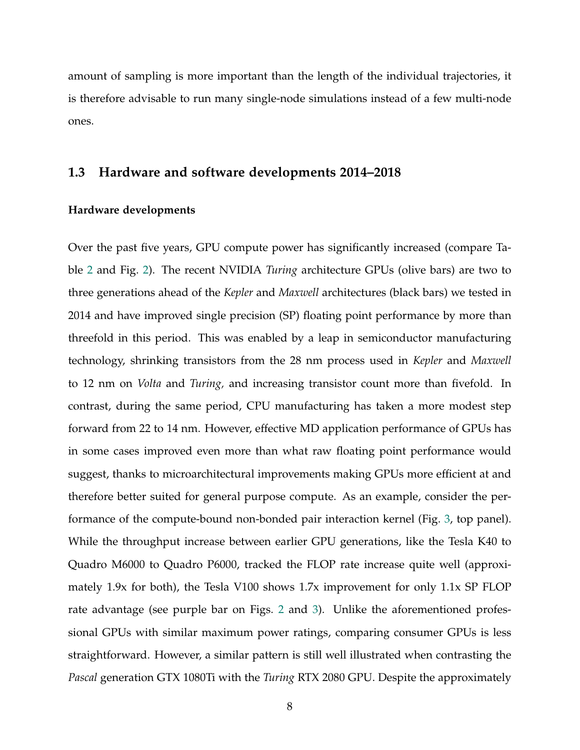amount of sampling is more important than the length of the individual trajectories, it is therefore advisable to run many single-node simulations instead of a few multi-node ones.

#### **1.3 Hardware and software developments 2014–2018**

#### **Hardware developments**

Over the past five years, GPU compute power has significantly increased (compare Table [2](#page-9-0) and Fig. [2\)](#page-10-0). The recent NVIDIA *Turing* architecture GPUs (olive bars) are two to three generations ahead of the *Kepler* and *Maxwell* architectures (black bars) we tested in 2014 and have improved single precision (SP) floating point performance by more than threefold in this period. This was enabled by a leap in semiconductor manufacturing technology, shrinking transistors from the 28 nm process used in *Kepler* and *Maxwell* to 12 nm on *Volta* and *Turing,* and increasing transistor count more than fivefold. In contrast, during the same period, CPU manufacturing has taken a more modest step forward from 22 to 14 nm. However, effective MD application performance of GPUs has in some cases improved even more than what raw floating point performance would suggest, thanks to microarchitectural improvements making GPUs more efficient at and therefore better suited for general purpose compute. As an example, consider the performance of the compute-bound non-bonded pair interaction kernel (Fig. [3,](#page-11-0) top panel). While the throughput increase between earlier GPU generations, like the Tesla K40 to Quadro M6000 to Quadro P6000, tracked the FLOP rate increase quite well (approximately 1.9x for both), the Tesla V100 shows 1.7x improvement for only 1.1x SP FLOP rate advantage (see purple bar on Figs. [2](#page-10-0) and [3\)](#page-11-0). Unlike the aforementioned professional GPUs with similar maximum power ratings, comparing consumer GPUs is less straightforward. However, a similar pattern is still well illustrated when contrasting the *Pascal* generation GTX 1080Ti with the *Turing* RTX 2080 GPU. Despite the approximately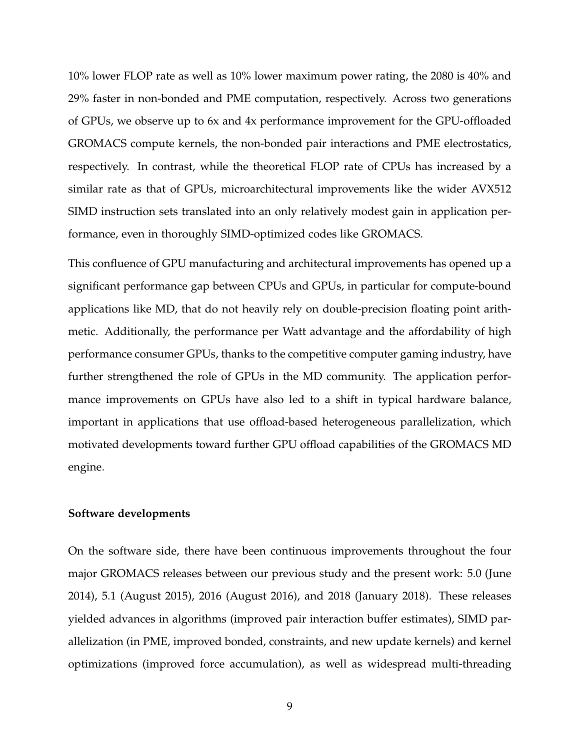10% lower FLOP rate as well as 10% lower maximum power rating, the 2080 is 40% and 29% faster in non-bonded and PME computation, respectively. Across two generations of GPUs, we observe up to 6x and 4x performance improvement for the GPU-offloaded GROMACS compute kernels, the non-bonded pair interactions and PME electrostatics, respectively. In contrast, while the theoretical FLOP rate of CPUs has increased by a similar rate as that of GPUs, microarchitectural improvements like the wider AVX512 SIMD instruction sets translated into an only relatively modest gain in application performance, even in thoroughly SIMD-optimized codes like GROMACS.

This confluence of GPU manufacturing and architectural improvements has opened up a significant performance gap between CPUs and GPUs, in particular for compute-bound applications like MD, that do not heavily rely on double-precision floating point arithmetic. Additionally, the performance per Watt advantage and the affordability of high performance consumer GPUs, thanks to the competitive computer gaming industry, have further strengthened the role of GPUs in the MD community. The application performance improvements on GPUs have also led to a shift in typical hardware balance, important in applications that use offload-based heterogeneous parallelization, which motivated developments toward further GPU offload capabilities of the GROMACS MD engine.

#### **Software developments**

On the software side, there have been continuous improvements throughout the four major GROMACS releases between our previous study and the present work: 5.0 (June 2014), 5.1 (August 2015), 2016 (August 2016), and 2018 (January 2018). These releases yielded advances in algorithms (improved pair interaction buffer estimates), SIMD parallelization (in PME, improved bonded, constraints, and new update kernels) and kernel optimizations (improved force accumulation), as well as widespread multi-threading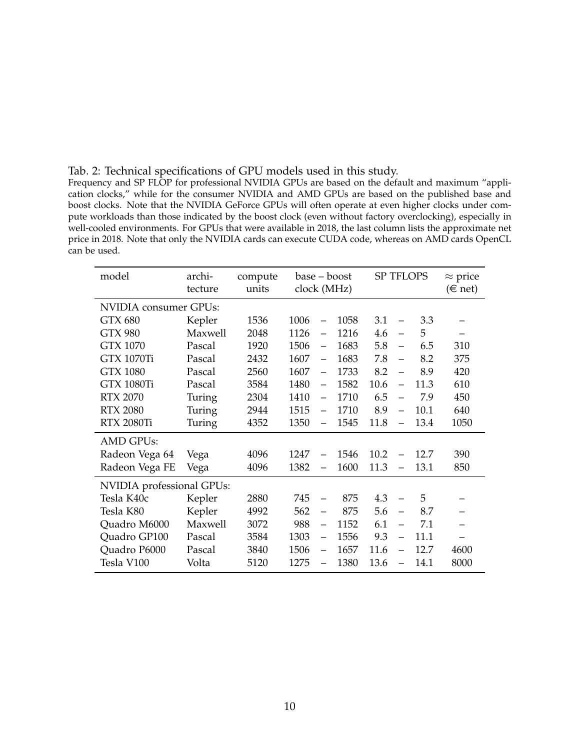<span id="page-9-0"></span>

| Tab. 2: Technical specifications of GPU models used in this study. |
|--------------------------------------------------------------------|
|--------------------------------------------------------------------|

Frequency and SP FLOP for professional NVIDIA GPUs are based on the default and maximum "application clocks," while for the consumer NVIDIA and AMD GPUs are based on the published base and boost clocks. Note that the NVIDIA GeForce GPUs will often operate at even higher clocks under compute workloads than those indicated by the boost clock (even without factory overclocking), especially in well-cooled environments. For GPUs that were available in 2018, the last column lists the approximate net price in 2018. Note that only the NVIDIA cards can execute CUDA code, whereas on AMD cards OpenCL can be used.

| model                     | archi-  | compute | base – boost |                          |      | <b>SP TFLOPS</b> |                          |      | $\approx$ price |  |
|---------------------------|---------|---------|--------------|--------------------------|------|------------------|--------------------------|------|-----------------|--|
|                           | tecture | units   | clock (MHz)  |                          |      |                  | $(\in$ net)              |      |                 |  |
| NVIDIA consumer GPUs:     |         |         |              |                          |      |                  |                          |      |                 |  |
| <b>GTX 680</b>            | Kepler  | 1536    | 1006         |                          | 1058 | 3.1              | $\equiv$                 | 3.3  |                 |  |
| <b>GTX 980</b>            | Maxwell | 2048    | 1126         | $\overline{\phantom{0}}$ | 1216 | 4.6              | $\equiv$                 | 5    |                 |  |
| <b>GTX 1070</b>           | Pascal  | 1920    | 1506         | $\equiv$                 | 1683 | 5.8              | $\equiv$                 | 6.5  | 310             |  |
| <b>GTX 1070Ti</b>         | Pascal  | 2432    | 1607         | $\equiv$                 | 1683 | 7.8              | $\equiv$                 | 8.2  | 375             |  |
| <b>GTX 1080</b>           | Pascal  | 2560    | 1607         | $\overline{\phantom{0}}$ | 1733 | 8.2              | $\equiv$                 | 8.9  | 420             |  |
| <b>GTX 1080Ti</b>         | Pascal  | 3584    | 1480         | —                        | 1582 | 10.6             | $\equiv$                 | 11.3 | 610             |  |
| <b>RTX 2070</b>           | Turing  | 2304    | 1410         | $\overline{\phantom{0}}$ | 1710 | 6.5              | $\overline{\phantom{0}}$ | 7.9  | 450             |  |
| <b>RTX 2080</b>           | Turing  | 2944    | 1515         | $\overline{\phantom{0}}$ | 1710 | 8.9              | $\qquad \qquad -$        | 10.1 | 640             |  |
| <b>RTX 2080Ti</b>         | Turing  | 4352    | 1350         |                          | 1545 | 11.8             | $\overline{\phantom{0}}$ | 13.4 | 1050            |  |
| <b>AMD GPUs:</b>          |         |         |              |                          |      |                  |                          |      |                 |  |
| Radeon Vega 64            | Vega    | 4096    | 1247         |                          | 1546 | 10.2             |                          | 12.7 | 390             |  |
| Radeon Vega FE            | Vega    | 4096    | 1382<br>1600 |                          | 11.3 |                  | 13.1                     | 850  |                 |  |
| NVIDIA professional GPUs: |         |         |              |                          |      |                  |                          |      |                 |  |
| Tesla K40c                | Kepler  | 2880    | 745          |                          | 875  | 4.3              | $\overline{\phantom{0}}$ | 5    |                 |  |
| Tesla K80                 | Kepler  | 4992    | 562          | $\equiv$                 | 875  | 5.6              | $\equiv$                 | 8.7  |                 |  |
| Quadro M6000              | Maxwell | 3072    | 988          | $\qquad \qquad -$        | 1152 | 6.1              | $\overline{\phantom{0}}$ | 7.1  |                 |  |
| Quadro GP100              | Pascal  | 3584    | 1303         | $\qquad \qquad -$        | 1556 | 9.3              | $\equiv$                 | 11.1 |                 |  |
| Quadro P6000              | Pascal  | 3840    | 1506         |                          | 1657 | 11.6             |                          | 12.7 | 4600            |  |
| Tesla V100                | Volta   | 5120    | 1275         |                          | 1380 | 13.6             | $\overline{\phantom{0}}$ | 14.1 | 8000            |  |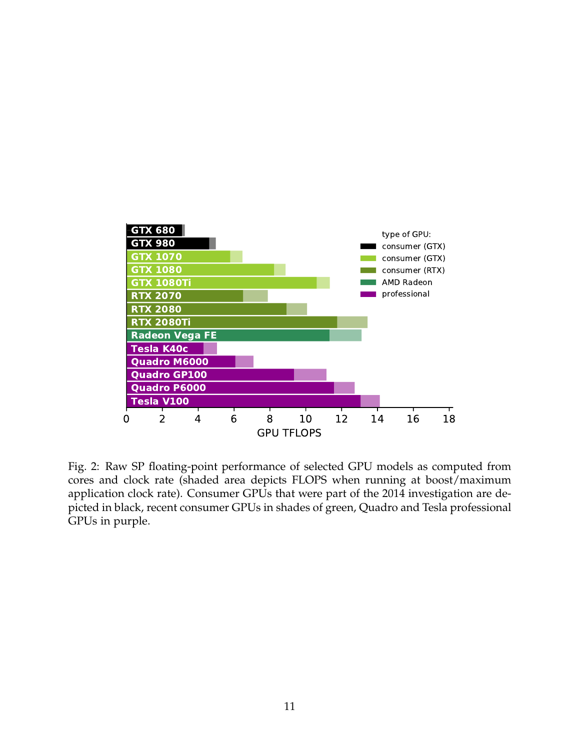<span id="page-10-0"></span>

Fig. 2: Raw SP floating-point performance of selected GPU models as computed from cores and clock rate (shaded area depicts FLOPS when running at boost/maximum application clock rate). Consumer GPUs that were part of the 2014 investigation are depicted in black, recent consumer GPUs in shades of green, Quadro and Tesla professional GPUs in purple.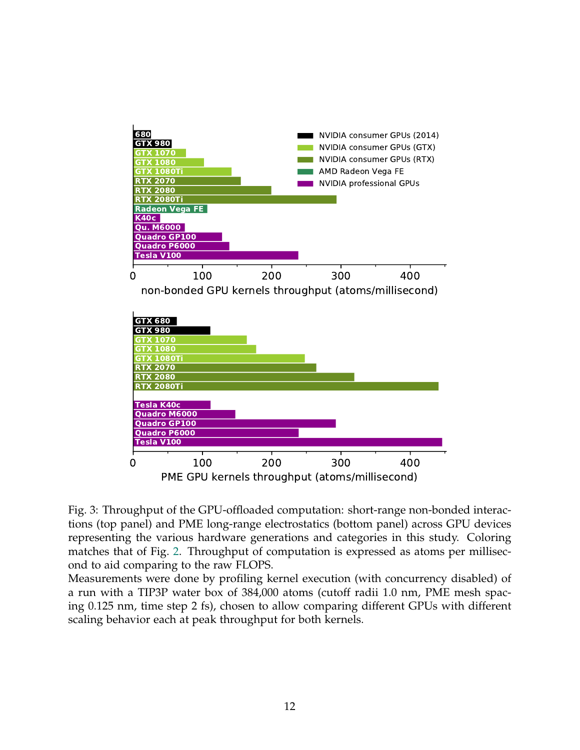<span id="page-11-0"></span>

Fig. 3: Throughput of the GPU-offloaded computation: short-range non-bonded interactions (top panel) and PME long-range electrostatics (bottom panel) across GPU devices representing the various hardware generations and categories in this study. Coloring matches that of Fig. [2.](#page-10-0) Throughput of computation is expressed as atoms per millisecond to aid comparing to the raw FLOPS.

Measurements were done by profiling kernel execution (with concurrency disabled) of a run with a TIP3P water box of 384,000 atoms (cutoff radii 1.0 nm, PME mesh spacing 0.125 nm, time step 2 fs), chosen to allow comparing different GPUs with different scaling behavior each at peak throughput for both kernels.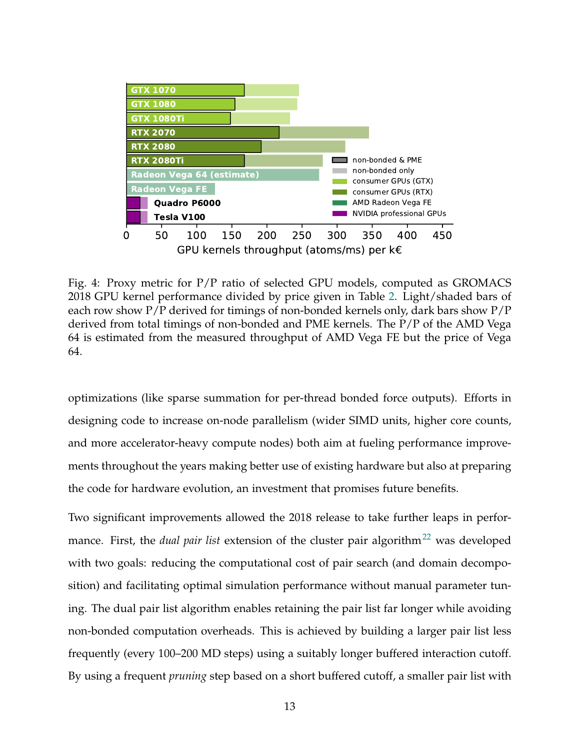<span id="page-12-0"></span>

Fig. 4: Proxy metric for P/P ratio of selected GPU models, computed as GROMACS 2018 GPU kernel performance divided by price given in Table [2.](#page-9-0) Light/shaded bars of each row show  $P/P$  derived for timings of non-bonded kernels only, dark bars show  $P/P$ derived from total timings of non-bonded and PME kernels. The P/P of the AMD Vega 64 is estimated from the measured throughput of AMD Vega FE but the price of Vega 64.

optimizations (like sparse summation for per-thread bonded force outputs). Efforts in designing code to increase on-node parallelism (wider SIMD units, higher core counts, and more accelerator-heavy compute nodes) both aim at fueling performance improvements throughout the years making better use of existing hardware but also at preparing the code for hardware evolution, an investment that promises future benefits.

Two significant improvements allowed the 2018 release to take further leaps in performance. First, the *dual pair list* extension of the cluster pair algorithm<sup>[22](#page-39-7)</sup> was developed with two goals: reducing the computational cost of pair search (and domain decomposition) and facilitating optimal simulation performance without manual parameter tuning. The dual pair list algorithm enables retaining the pair list far longer while avoiding non-bonded computation overheads. This is achieved by building a larger pair list less frequently (every 100–200 MD steps) using a suitably longer buffered interaction cutoff. By using a frequent *pruning* step based on a short buffered cutoff, a smaller pair list with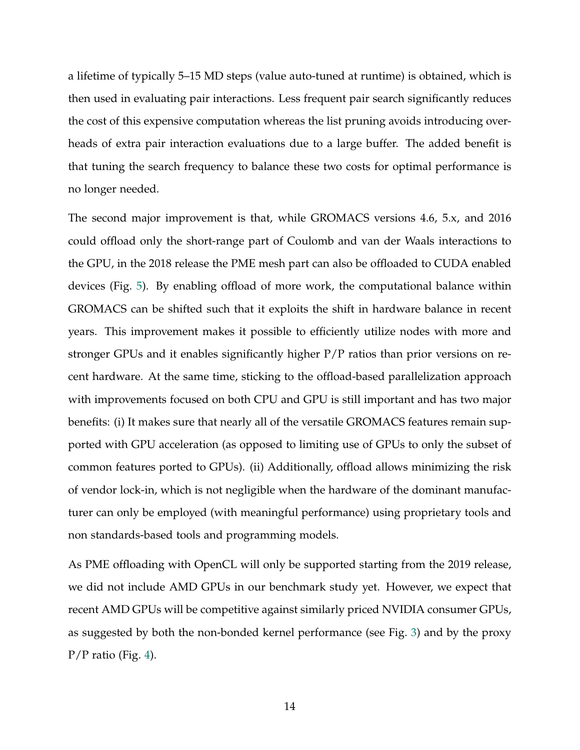a lifetime of typically 5–15 MD steps (value auto-tuned at runtime) is obtained, which is then used in evaluating pair interactions. Less frequent pair search significantly reduces the cost of this expensive computation whereas the list pruning avoids introducing overheads of extra pair interaction evaluations due to a large buffer. The added benefit is that tuning the search frequency to balance these two costs for optimal performance is no longer needed.

The second major improvement is that, while GROMACS versions 4.6, 5.x, and 2016 could offload only the short-range part of Coulomb and van der Waals interactions to the GPU, in the 2018 release the PME mesh part can also be offloaded to CUDA enabled devices (Fig. [5\)](#page-14-0). By enabling offload of more work, the computational balance within GROMACS can be shifted such that it exploits the shift in hardware balance in recent years. This improvement makes it possible to efficiently utilize nodes with more and stronger GPUs and it enables significantly higher P/P ratios than prior versions on recent hardware. At the same time, sticking to the offload-based parallelization approach with improvements focused on both CPU and GPU is still important and has two major benefits: (i) It makes sure that nearly all of the versatile GROMACS features remain supported with GPU acceleration (as opposed to limiting use of GPUs to only the subset of common features ported to GPUs). (ii) Additionally, offload allows minimizing the risk of vendor lock-in, which is not negligible when the hardware of the dominant manufacturer can only be employed (with meaningful performance) using proprietary tools and non standards-based tools and programming models.

As PME offloading with OpenCL will only be supported starting from the 2019 release, we did not include AMD GPUs in our benchmark study yet. However, we expect that recent AMD GPUs will be competitive against similarly priced NVIDIA consumer GPUs, as suggested by both the non-bonded kernel performance (see Fig. [3\)](#page-11-0) and by the proxy P/P ratio (Fig. [4\)](#page-12-0).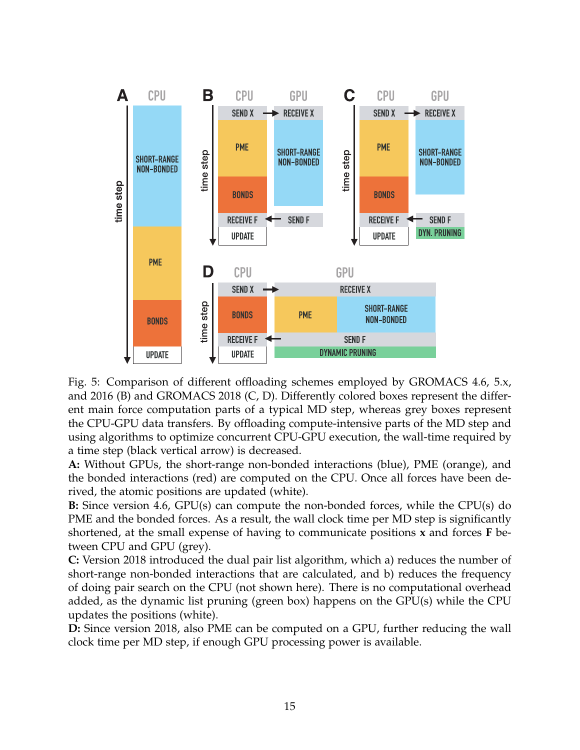<span id="page-14-0"></span>

Fig. 5: Comparison of different offloading schemes employed by GROMACS 4.6, 5.x, and 2016 (B) and GROMACS 2018 (C, D). Differently colored boxes represent the different main force computation parts of a typical MD step, whereas grey boxes represent the CPU-GPU data transfers. By offloading compute-intensive parts of the MD step and using algorithms to optimize concurrent CPU-GPU execution, the wall-time required by a time step (black vertical arrow) is decreased.

**A:** Without GPUs, the short-range non-bonded interactions (blue), PME (orange), and the bonded interactions (red) are computed on the CPU. Once all forces have been derived, the atomic positions are updated (white).

**B:** Since version 4.6, GPU(s) can compute the non-bonded forces, while the CPU(s) do PME and the bonded forces. As a result, the wall clock time per MD step is significantly shortened, at the small expense of having to communicate positions **x** and forces **F** between CPU and GPU (grey).

**C:** Version 2018 introduced the dual pair list algorithm, which a) reduces the number of short-range non-bonded interactions that are calculated, and b) reduces the frequency of doing pair search on the CPU (not shown here). There is no computational overhead added, as the dynamic list pruning (green box) happens on the GPU(s) while the CPU updates the positions (white).

**D:** Since version 2018, also PME can be computed on a GPU, further reducing the wall clock time per MD step, if enough GPU processing power is available.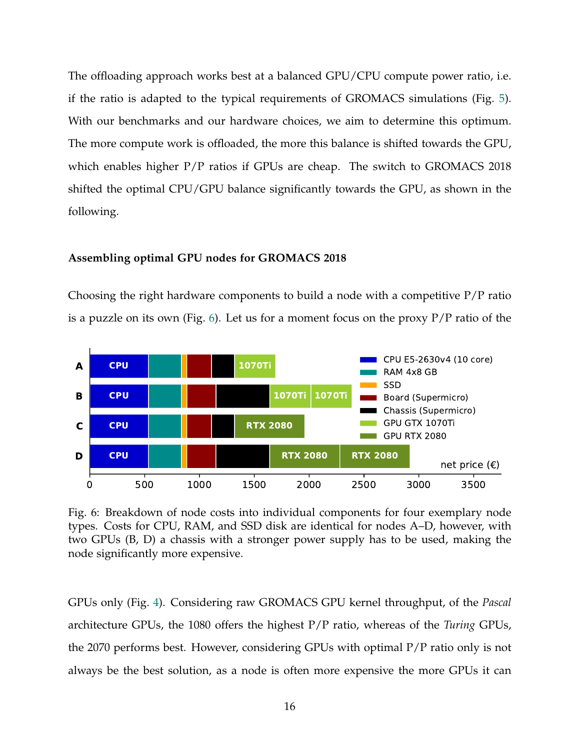The offloading approach works best at a balanced GPU/CPU compute power ratio, i.e. if the ratio is adapted to the typical requirements of GROMACS simulations (Fig. [5\)](#page-14-0). With our benchmarks and our hardware choices, we aim to determine this optimum. The more compute work is offloaded, the more this balance is shifted towards the GPU, which enables higher P/P ratios if GPUs are cheap. The switch to GROMACS 2018 shifted the optimal CPU/GPU balance significantly towards the GPU, as shown in the following.

#### **Assembling optimal GPU nodes for GROMACS 2018**

Choosing the right hardware components to build a node with a competitive  $P/P$  ratio is a puzzle on its own (Fig. [6\)](#page-15-0). Let us for a moment focus on the proxy  $P/P$  ratio of the

<span id="page-15-0"></span>

Fig. 6: Breakdown of node costs into individual components for four exemplary node types. Costs for CPU, RAM, and SSD disk are identical for nodes A–D, however, with two GPUs (B, D) a chassis with a stronger power supply has to be used, making the node significantly more expensive.

GPUs only (Fig. [4\)](#page-12-0). Considering raw GROMACS GPU kernel throughput, of the *Pascal* architecture GPUs, the 1080 offers the highest P/P ratio, whereas of the *Turing* GPUs, the 2070 performs best. However, considering GPUs with optimal P/P ratio only is not always be the best solution, as a node is often more expensive the more GPUs it can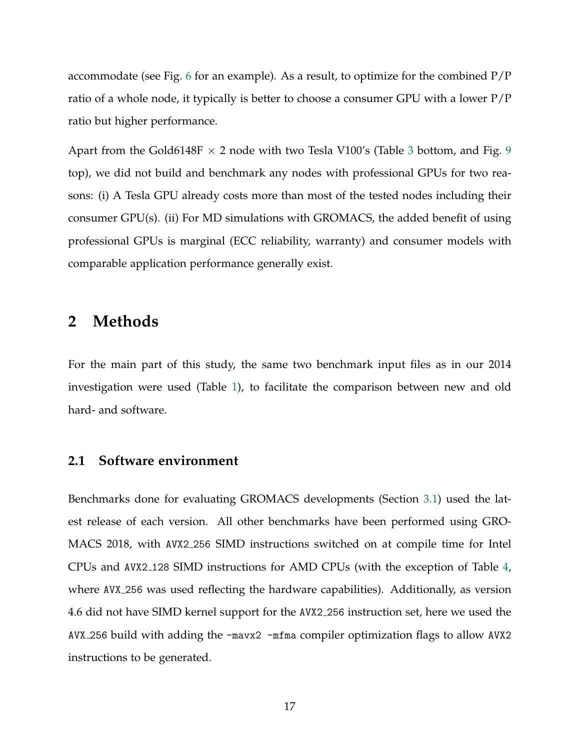accommodate (see Fig. [6](#page-15-0) for an example). As a result, to optimize for the combined  $P/P$ ratio of a whole node, it typically is better to choose a consumer GPU with a lower P/P ratio but higher performance.

Apart from the Gold6148F  $\times$  2 node with two Tesla V100's (Table [3](#page-26-0) bottom, and Fig. [9](#page-28-0) top), we did not build and benchmark any nodes with professional GPUs for two reasons: (i) A Tesla GPU already costs more than most of the tested nodes including their consumer GPU(s). (ii) For MD simulations with GROMACS, the added benefit of using professional GPUs is marginal (ECC reliability, warranty) and consumer models with comparable application performance generally exist.

## **2 Methods**

For the main part of this study, the same two benchmark input files as in our 2014 investigation were used (Table [1\)](#page-5-0), to facilitate the comparison between new and old hard- and software.

#### **2.1 Software environment**

Benchmarks done for evaluating GROMACS developments (Section [3.1\)](#page-21-0) used the latest release of each version. All other benchmarks have been performed using GRO-MACS 2018, with AVX2 256 SIMD instructions switched on at compile time for Intel CPUs and AVX2 128 SIMD instructions for AMD CPUs (with the exception of Table [4,](#page-27-0) where AVX 256 was used reflecting the hardware capabilities). Additionally, as version 4.6 did not have SIMD kernel support for the AVX2 256 instruction set, here we used the AVX 256 build with adding the -mavx2 -mfma compiler optimization flags to allow AVX2 instructions to be generated.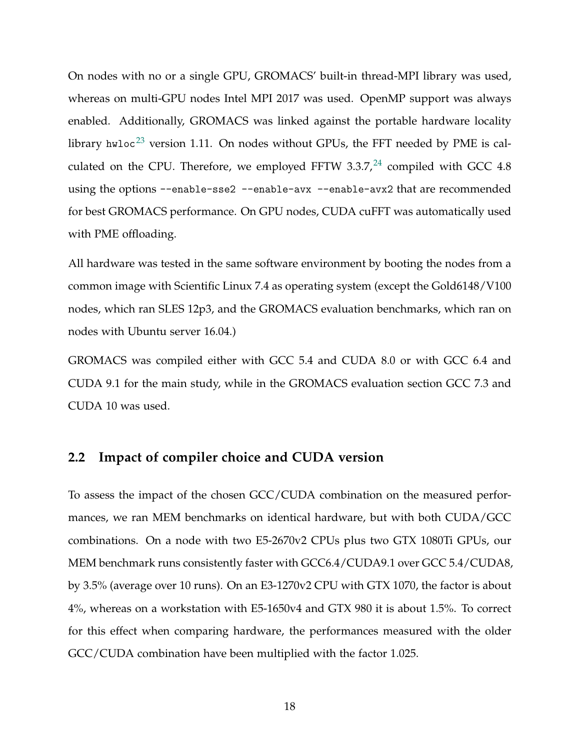On nodes with no or a single GPU, GROMACS' built-in thread-MPI library was used, whereas on multi-GPU nodes Intel MPI 2017 was used. OpenMP support was always enabled. Additionally, GROMACS was linked against the portable hardware locality library hwloc<sup>[23](#page-40-0)</sup> version 1.11. On nodes without GPUs, the FFT needed by PME is calculated on the CPU. Therefore, we employed FFTW 3.3.7, $^{24}$  $^{24}$  $^{24}$  compiled with GCC 4.8 using the options --enable-sse2 --enable-avx --enable-avx2 that are recommended for best GROMACS performance. On GPU nodes, CUDA cuFFT was automatically used with PME offloading.

All hardware was tested in the same software environment by booting the nodes from a common image with Scientific Linux 7.4 as operating system (except the Gold6148/V100 nodes, which ran SLES 12p3, and the GROMACS evaluation benchmarks, which ran on nodes with Ubuntu server 16.04.)

GROMACS was compiled either with GCC 5.4 and CUDA 8.0 or with GCC 6.4 and CUDA 9.1 for the main study, while in the GROMACS evaluation section GCC 7.3 and CUDA 10 was used.

#### **2.2 Impact of compiler choice and CUDA version**

To assess the impact of the chosen GCC/CUDA combination on the measured performances, we ran MEM benchmarks on identical hardware, but with both CUDA/GCC combinations. On a node with two E5-2670v2 CPUs plus two GTX 1080Ti GPUs, our MEM benchmark runs consistently faster with GCC6.4/CUDA9.1 over GCC 5.4/CUDA8, by 3.5% (average over 10 runs). On an E3-1270v2 CPU with GTX 1070, the factor is about 4%, whereas on a workstation with E5-1650v4 and GTX 980 it is about 1.5%. To correct for this effect when comparing hardware, the performances measured with the older GCC/CUDA combination have been multiplied with the factor 1.025.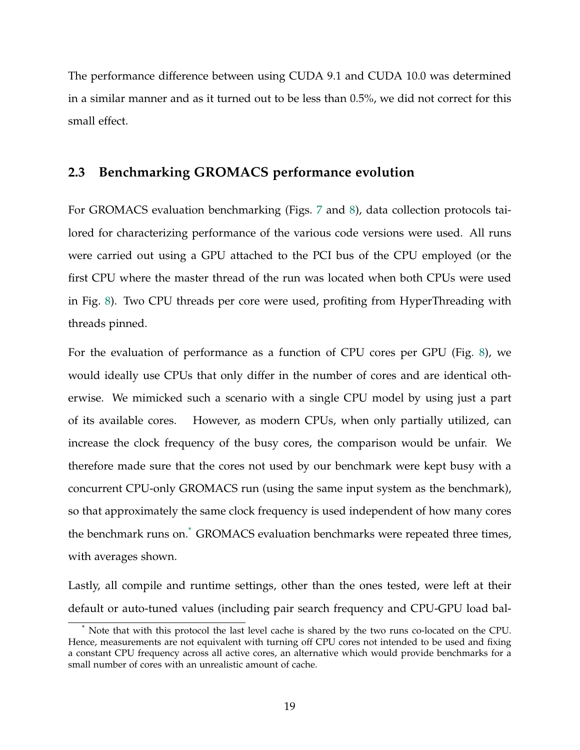The performance difference between using CUDA 9.1 and CUDA 10.0 was determined in a similar manner and as it turned out to be less than 0.5%, we did not correct for this small effect.

## **2.3 Benchmarking GROMACS performance evolution**

For GROMACS evaluation benchmarking (Figs. [7](#page-22-0) and [8\)](#page-25-0), data collection protocols tailored for characterizing performance of the various code versions were used. All runs were carried out using a GPU attached to the PCI bus of the CPU employed (or the first CPU where the master thread of the run was located when both CPUs were used in Fig. [8\)](#page-25-0). Two CPU threads per core were used, profiting from HyperThreading with threads pinned.

For the evaluation of performance as a function of CPU cores per GPU (Fig. [8\)](#page-25-0), we would ideally use CPUs that only differ in the number of cores and are identical otherwise. We mimicked such a scenario with a single CPU model by using just a part of its available cores. However, as modern CPUs, when only partially utilized, can increase the clock frequency of the busy cores, the comparison would be unfair. We therefore made sure that the cores not used by our benchmark were kept busy with a concurrent CPU-only GROMACS run (using the same input system as the benchmark), so that approximately the same clock frequency is used independent of how many cores the benchmark runs on.<sup>[\\*](#page-18-0)</sup> GROMACS evaluation benchmarks were repeated three times, with averages shown.

Lastly, all compile and runtime settings, other than the ones tested, were left at their default or auto-tuned values (including pair search frequency and CPU-GPU load bal-

<span id="page-18-0"></span><sup>\*</sup> Note that with this protocol the last level cache is shared by the two runs co-located on the CPU. Hence, measurements are not equivalent with turning off CPU cores not intended to be used and fixing a constant CPU frequency across all active cores, an alternative which would provide benchmarks for a small number of cores with an unrealistic amount of cache.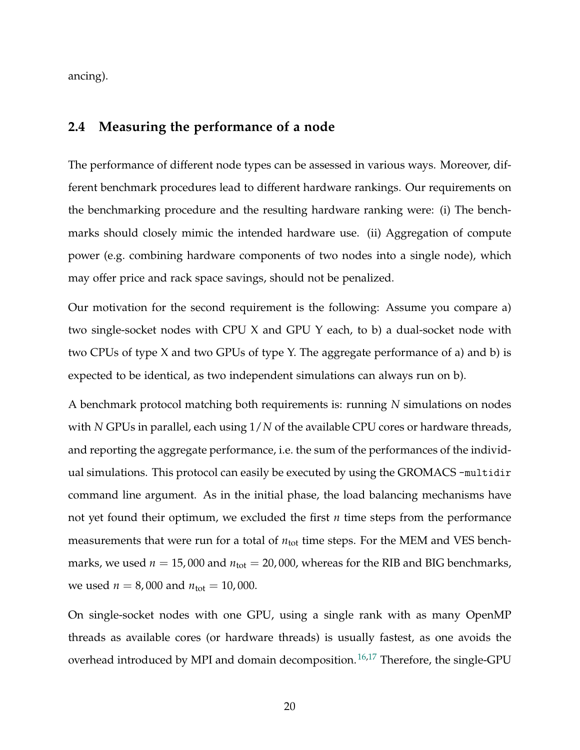ancing).

## **2.4 Measuring the performance of a node**

The performance of different node types can be assessed in various ways. Moreover, different benchmark procedures lead to different hardware rankings. Our requirements on the benchmarking procedure and the resulting hardware ranking were: (i) The benchmarks should closely mimic the intended hardware use. (ii) Aggregation of compute power (e.g. combining hardware components of two nodes into a single node), which may offer price and rack space savings, should not be penalized.

Our motivation for the second requirement is the following: Assume you compare a) two single-socket nodes with CPU X and GPU Y each, to b) a dual-socket node with two CPUs of type X and two GPUs of type Y. The aggregate performance of a) and b) is expected to be identical, as two independent simulations can always run on b).

A benchmark protocol matching both requirements is: running *N* simulations on nodes with *N* GPUs in parallel, each using 1/*N* of the available CPU cores or hardware threads, and reporting the aggregate performance, i.e. the sum of the performances of the individual simulations. This protocol can easily be executed by using the GROMACS -multidir command line argument. As in the initial phase, the load balancing mechanisms have not yet found their optimum, we excluded the first *n* time steps from the performance measurements that were run for a total of  $n_{tot}$  time steps. For the MEM and VES benchmarks, we used  $n = 15,000$  and  $n_{\text{tot}} = 20,000$ , whereas for the RIB and BIG benchmarks, we used  $n = 8,000$  and  $n_{\text{tot}} = 10,000$ .

On single-socket nodes with one GPU, using a single rank with as many OpenMP threads as available cores (or hardware threads) is usually fastest, as one avoids the overhead introduced by MPI and domain decomposition.<sup>[16,](#page-39-1)[17](#page-39-2)</sup> Therefore, the single-GPU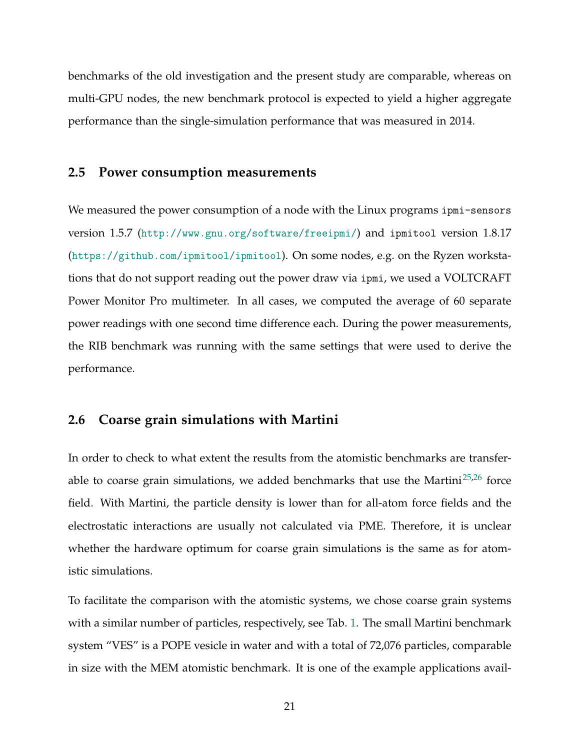benchmarks of the old investigation and the present study are comparable, whereas on multi-GPU nodes, the new benchmark protocol is expected to yield a higher aggregate performance than the single-simulation performance that was measured in 2014.

#### **2.5 Power consumption measurements**

We measured the power consumption of a node with the Linux programs ipmi-sensors version 1.5.7 (<http://www.gnu.org/software/freeipmi/>) and ipmitool version 1.8.17 (<https://github.com/ipmitool/ipmitool>). On some nodes, e.g. on the Ryzen workstations that do not support reading out the power draw via ipmi, we used a VOLTCRAFT Power Monitor Pro multimeter. In all cases, we computed the average of 60 separate power readings with one second time difference each. During the power measurements, the RIB benchmark was running with the same settings that were used to derive the performance.

#### <span id="page-20-0"></span>**2.6 Coarse grain simulations with Martini**

In order to check to what extent the results from the atomistic benchmarks are transfer-able to coarse grain simulations, we added benchmarks that use the Martini<sup>[25,](#page-40-2)[26](#page-40-3)</sup> force field. With Martini, the particle density is lower than for all-atom force fields and the electrostatic interactions are usually not calculated via PME. Therefore, it is unclear whether the hardware optimum for coarse grain simulations is the same as for atomistic simulations.

To facilitate the comparison with the atomistic systems, we chose coarse grain systems with a similar number of particles, respectively, see Tab. [1.](#page-5-0) The small Martini benchmark system "VES" is a POPE vesicle in water and with a total of 72,076 particles, comparable in size with the MEM atomistic benchmark. It is one of the example applications avail-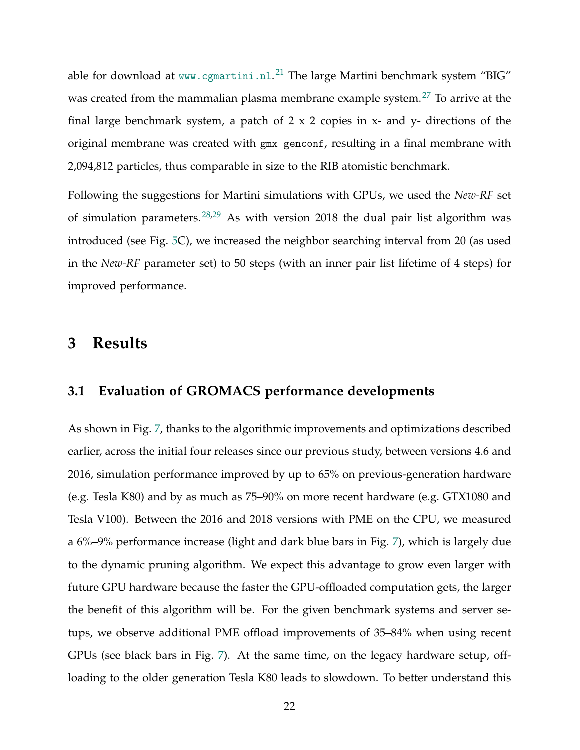able for download at <www.cgmartini.nl>. $^{21}$  $^{21}$  $^{21}$  The large Martini benchmark system "BIG" was created from the mammalian plasma membrane example system.<sup>[27](#page-40-4)</sup> To arrive at the final large benchmark system, a patch of  $2 \times 2$  copies in  $x$ - and  $y$ - directions of the original membrane was created with gmx genconf, resulting in a final membrane with 2,094,812 particles, thus comparable in size to the RIB atomistic benchmark.

Following the suggestions for Martini simulations with GPUs, we used the *New-RF* set of simulation parameters.<sup>[28](#page-40-5)[,29](#page-40-6)</sup> As with version 2018 the dual pair list algorithm was introduced (see Fig. [5C](#page-14-0)), we increased the neighbor searching interval from 20 (as used in the *New-RF* parameter set) to 50 steps (with an inner pair list lifetime of 4 steps) for improved performance.

## <span id="page-21-0"></span>**3 Results**

#### **3.1 Evaluation of GROMACS performance developments**

As shown in Fig. [7,](#page-22-0) thanks to the algorithmic improvements and optimizations described earlier, across the initial four releases since our previous study, between versions 4.6 and 2016, simulation performance improved by up to 65% on previous-generation hardware (e.g. Tesla K80) and by as much as 75–90% on more recent hardware (e.g. GTX1080 and Tesla V100). Between the 2016 and 2018 versions with PME on the CPU, we measured a 6%–9% performance increase (light and dark blue bars in Fig. [7\)](#page-22-0), which is largely due to the dynamic pruning algorithm. We expect this advantage to grow even larger with future GPU hardware because the faster the GPU-offloaded computation gets, the larger the benefit of this algorithm will be. For the given benchmark systems and server setups, we observe additional PME offload improvements of 35–84% when using recent GPUs (see black bars in Fig. [7\)](#page-22-0). At the same time, on the legacy hardware setup, offloading to the older generation Tesla K80 leads to slowdown. To better understand this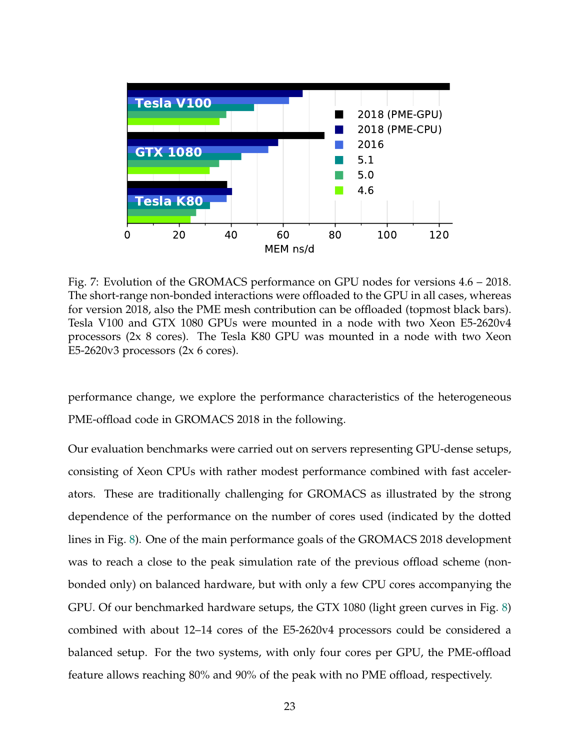<span id="page-22-0"></span>

Fig. 7: Evolution of the GROMACS performance on GPU nodes for versions 4.6 – 2018. The short-range non-bonded interactions were offloaded to the GPU in all cases, whereas for version 2018, also the PME mesh contribution can be offloaded (topmost black bars). Tesla V100 and GTX 1080 GPUs were mounted in a node with two Xeon E5-2620v4 processors (2x 8 cores). The Tesla K80 GPU was mounted in a node with two Xeon E5-2620v3 processors (2x 6 cores).

performance change, we explore the performance characteristics of the heterogeneous PME-offload code in GROMACS 2018 in the following.

Our evaluation benchmarks were carried out on servers representing GPU-dense setups, consisting of Xeon CPUs with rather modest performance combined with fast accelerators. These are traditionally challenging for GROMACS as illustrated by the strong dependence of the performance on the number of cores used (indicated by the dotted lines in Fig. [8\)](#page-25-0). One of the main performance goals of the GROMACS 2018 development was to reach a close to the peak simulation rate of the previous offload scheme (nonbonded only) on balanced hardware, but with only a few CPU cores accompanying the GPU. Of our benchmarked hardware setups, the GTX 1080 (light green curves in Fig. [8\)](#page-25-0) combined with about 12–14 cores of the E5-2620v4 processors could be considered a balanced setup. For the two systems, with only four cores per GPU, the PME-offload feature allows reaching 80% and 90% of the peak with no PME offload, respectively.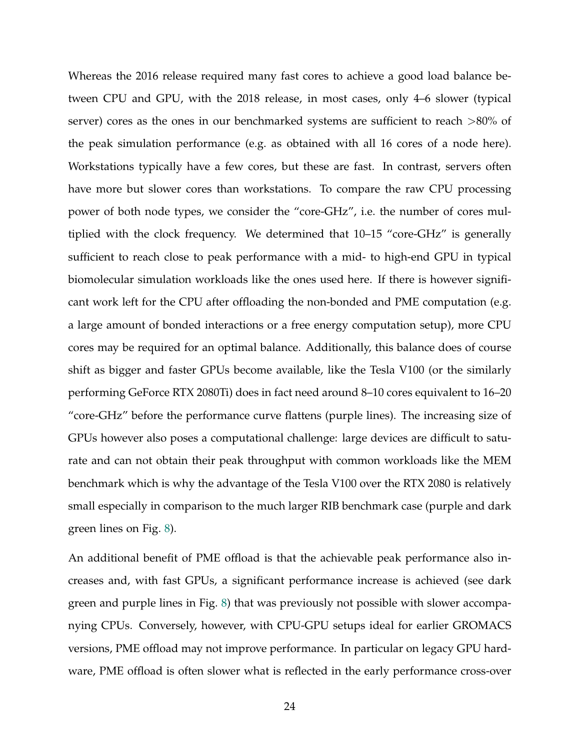Whereas the 2016 release required many fast cores to achieve a good load balance between CPU and GPU, with the 2018 release, in most cases, only 4–6 slower (typical server) cores as the ones in our benchmarked systems are sufficient to reach >80% of the peak simulation performance (e.g. as obtained with all 16 cores of a node here). Workstations typically have a few cores, but these are fast. In contrast, servers often have more but slower cores than workstations. To compare the raw CPU processing power of both node types, we consider the "core-GHz", i.e. the number of cores multiplied with the clock frequency. We determined that 10–15 "core-GHz" is generally sufficient to reach close to peak performance with a mid- to high-end GPU in typical biomolecular simulation workloads like the ones used here. If there is however significant work left for the CPU after offloading the non-bonded and PME computation (e.g. a large amount of bonded interactions or a free energy computation setup), more CPU cores may be required for an optimal balance. Additionally, this balance does of course shift as bigger and faster GPUs become available, like the Tesla V100 (or the similarly performing GeForce RTX 2080Ti) does in fact need around 8–10 cores equivalent to 16–20 "core-GHz" before the performance curve flattens (purple lines). The increasing size of GPUs however also poses a computational challenge: large devices are difficult to saturate and can not obtain their peak throughput with common workloads like the MEM benchmark which is why the advantage of the Tesla V100 over the RTX 2080 is relatively small especially in comparison to the much larger RIB benchmark case (purple and dark green lines on Fig. [8\)](#page-25-0).

An additional benefit of PME offload is that the achievable peak performance also increases and, with fast GPUs, a significant performance increase is achieved (see dark green and purple lines in Fig. [8\)](#page-25-0) that was previously not possible with slower accompanying CPUs. Conversely, however, with CPU-GPU setups ideal for earlier GROMACS versions, PME offload may not improve performance. In particular on legacy GPU hardware, PME offload is often slower what is reflected in the early performance cross-over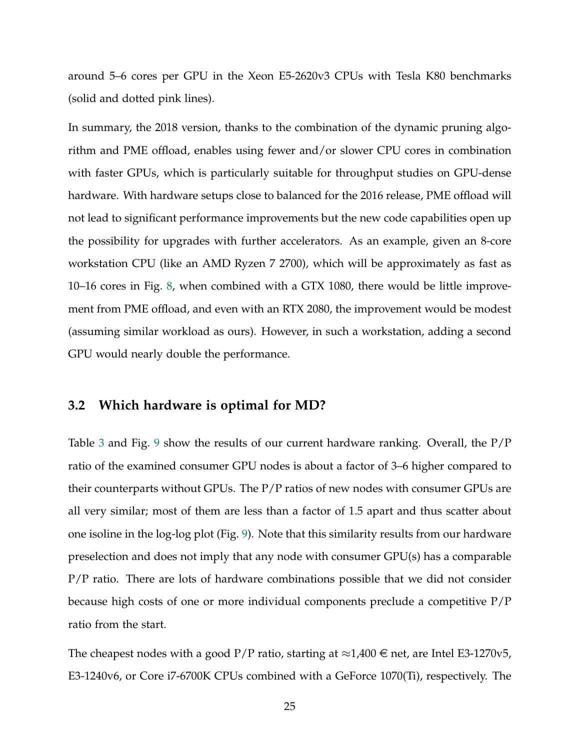around 5–6 cores per GPU in the Xeon E5-2620v3 CPUs with Tesla K80 benchmarks (solid and dotted pink lines).

In summary, the 2018 version, thanks to the combination of the dynamic pruning algorithm and PME offload, enables using fewer and/or slower CPU cores in combination with faster GPUs, which is particularly suitable for throughput studies on GPU-dense hardware. With hardware setups close to balanced for the 2016 release, PME offload will not lead to significant performance improvements but the new code capabilities open up the possibility for upgrades with further accelerators. As an example, given an 8-core workstation CPU (like an AMD Ryzen 7 2700), which will be approximately as fast as 10–16 cores in Fig. [8,](#page-25-0) when combined with a GTX 1080, there would be little improvement from PME offload, and even with an RTX 2080, the improvement would be modest (assuming similar workload as ours). However, in such a workstation, adding a second GPU would nearly double the performance.

#### **3.2 Which hardware is optimal for MD?**

Table [3](#page-26-0) and Fig. [9](#page-28-0) show the results of our current hardware ranking. Overall, the P/P ratio of the examined consumer GPU nodes is about a factor of 3–6 higher compared to their counterparts without GPUs. The P/P ratios of new nodes with consumer GPUs are all very similar; most of them are less than a factor of 1.5 apart and thus scatter about one isoline in the log-log plot (Fig. [9\)](#page-28-0). Note that this similarity results from our hardware preselection and does not imply that any node with consumer GPU(s) has a comparable P/P ratio. There are lots of hardware combinations possible that we did not consider because high costs of one or more individual components preclude a competitive P/P ratio from the start.

The cheapest nodes with a good P/P ratio, starting at ≈1,400  $\in$  net, are Intel E3-1270v5, E3-1240v6, or Core i7-6700K CPUs combined with a GeForce 1070(Ti), respectively. The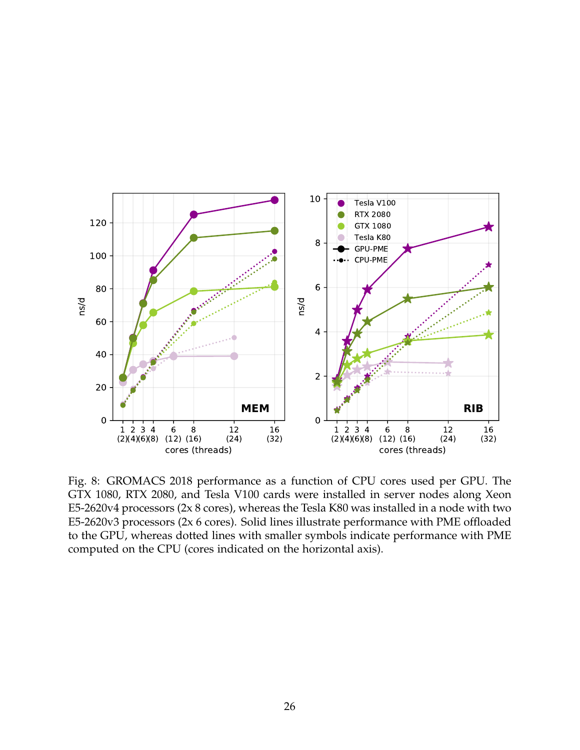<span id="page-25-0"></span>

Fig. 8: GROMACS 2018 performance as a function of CPU cores used per GPU. The GTX 1080, RTX 2080, and Tesla V100 cards were installed in server nodes along Xeon E5-2620v4 processors (2x 8 cores), whereas the Tesla K80 was installed in a node with two E5-2620v3 processors (2x 6 cores). Solid lines illustrate performance with PME offloaded to the GPU, whereas dotted lines with smaller symbols indicate performance with PME computed on the CPU (cores indicated on the horizontal axis).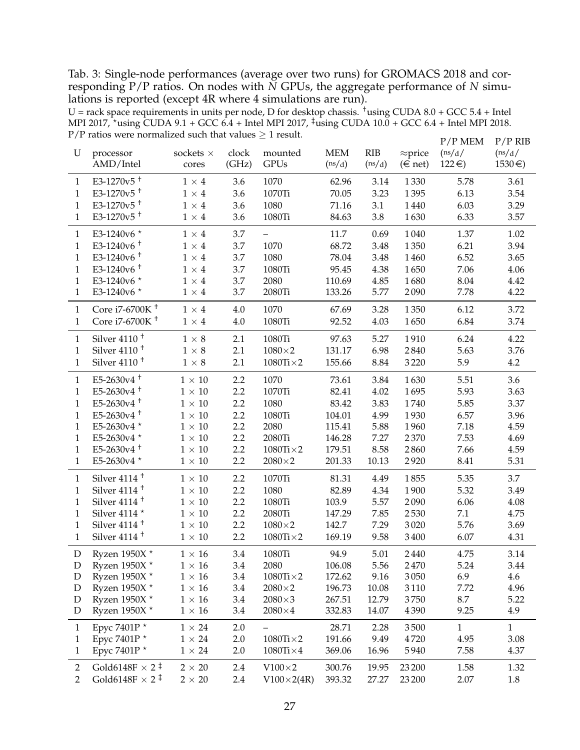<span id="page-26-0"></span>Tab. 3: Single-node performances (average over two runs) for GROMACS 2018 and corresponding P/P ratios. On nodes with *N* GPUs, the aggregate performance of *N* simulations is reported (except 4R where 4 simulations are run).

 $U =$  rack space requirements in units per node, D for desktop chassis. <sup>†</sup>using CUDA 8.0 + GCC 5.4 + Intel MPI 2017, \*using CUDA 9.1 + GCC  $6.4$  + Intel MPI 2017,  $\frac{1}{4}$ using CUDA 10.0 + GCC 6.4 + Intel MPI 2018. P/P ratios were normalized such that values  $\geq 1$  result.

| U              | processor<br>AMD/Intel            | sockets $\times$<br>cores | clock<br>(GHz) | mounted<br><b>GPUs</b>   | <b>MEM</b><br>(ns/d) | <b>RIB</b><br>(ns/d) | $\approx$ price<br>$(\in$ net) | $P/P$ MEM<br>(ns/d)<br>$122 \in)$ | $P/P$ RIB<br>(ns/d)<br>$1530 \in$ |
|----------------|-----------------------------------|---------------------------|----------------|--------------------------|----------------------|----------------------|--------------------------------|-----------------------------------|-----------------------------------|
| $\mathbf{1}$   | E3-1270 $v5$ <sup>+</sup>         | $1 \times 4$              | 3.6            | 1070                     | 62.96                | 3.14                 | 1330                           | 5.78                              | 3.61                              |
| $\mathbf{1}$   | E3-1270 $v5$ <sup>+</sup>         | $1\times 4$               | 3.6            | 1070Ti                   | 70.05                | 3.23                 | 1395                           | 6.13                              | 3.54                              |
| $\mathbf{1}$   | E3-1270 $v5$ <sup>+</sup>         | $1\times4$                | 3.6            | 1080                     | 71.16                | 3.1                  | 1440                           | 6.03                              | 3.29                              |
| $\mathbf{1}$   | E3-1270 $v5$ <sup>+</sup>         | $1\times4$                | 3.6            | 1080Ti                   | 84.63                | 3.8                  | 1630                           | 6.33                              | 3.57                              |
| $\mathbf{1}$   | E3-1240v6 *                       | $1 \times 4$              | 3.7            | $\overline{\phantom{0}}$ | 11.7                 | 0.69                 | 1040                           | 1.37                              | 1.02                              |
| $\mathbf{1}$   | E3-1240 $v$ 6 <sup>+</sup>        | $1\times4$                | 3.7            | 1070                     | 68.72                | 3.48                 | 1350                           | 6.21                              | 3.94                              |
| $\mathbf{1}$   | E3-1240 $v6^+$                    | $1\times4$                | 3.7            | 1080                     | 78.04                | 3.48                 | 1460                           | 6.52                              | 3.65                              |
| $\mathbf{1}$   | E3-1240 $v$ 6 <sup>+</sup>        | $1\times 4$               | 3.7            | 1080Ti                   | 95.45                | 4.38                 | 1650                           | 7.06                              | 4.06                              |
| $\mathbf{1}$   | E3-1240v6 *                       | $1\times4$                | 3.7            | 2080                     | 110.69               | 4.85                 | 1680                           | 8.04                              | 4.42                              |
| $\mathbf{1}$   | E3-1240v6 *                       | $1\times4$                | 3.7            | 2080Ti                   | 133.26               | 5.77                 | 2090                           | 7.78                              | 4.22                              |
| $\mathbf{1}$   | Core i7-6700K <sup>+</sup>        | $1\times 4$               | 4.0            | 1070                     | 67.69                | 3.28                 | 1350                           | 6.12                              | 3.72                              |
| $\mathbf{1}$   | Core i7-6700K <sup>+</sup>        | $1 \times 4$              | 4.0            | 1080Ti                   | 92.52                | 4.03                 | 1650                           | 6.84                              | 3.74                              |
| $\mathbf{1}$   | Silver $4110 +$                   | $1\times8$                | 2.1            | 1080Ti                   | 97.63                | 5.27                 | 1910                           | 6.24                              | 4.22                              |
| 1              | Silver $4110$ <sup>+</sup>        | $1 \times 8$              | 2.1            | $1080\times2$            | 131.17               | 6.98                 | 2840                           | 5.63                              | 3.76                              |
| $\mathbf{1}$   | Silver $4110$ <sup>+</sup>        | $1\times8$                | 2.1            | $1080Ti \times 2$        | 155.66               | 8.84                 | 3220                           | 5.9                               | 4.2                               |
| $\mathbf{1}$   | $E5-2630v4$ <sup>+</sup>          | $1 \times 10$             | 2.2            | 1070                     | 73.61                | 3.84                 | 1630                           | 5.51                              | 3.6                               |
| $\mathbf{1}$   | E5-2630 $v4$ <sup>+</sup>         | $1\times10$               | 2.2            | 1070Ti                   | 82.41                | 4.02                 | 1695                           | 5.93                              | 3.63                              |
| $\mathbf{1}$   | E5-2630 $v4$ <sup>+</sup>         | $1\times10$               | 2.2            | 1080                     | 83.42                | 3.83                 | 1740                           | 5.85                              | 3.37                              |
| $\mathbf{1}$   | $E5-2630v4$ <sup>+</sup>          | $1\times10$               | 2.2            | 1080Ti                   | 104.01               | 4.99                 | 1930                           | 6.57                              | 3.96                              |
| $\mathbf{1}$   | E5-2630v4 *                       | $1\times10$               | 2.2            | 2080                     | 115.41               | 5.88                 | 1960                           | 7.18                              | 4.59                              |
| $\mathbf{1}$   | E5-2630v4 *                       | $1\times10$               | 2.2            | 2080Ti                   | 146.28               | 7.27                 | 2370                           | 7.53                              | 4.69                              |
| $\mathbf{1}$   | $E5-2630v4$ <sup>+</sup>          | $1\times10$               | 2.2            | $1080$ Ti $\times$ 2     | 179.51               | 8.58                 | 2860                           | 7.66                              | 4.59                              |
| $\mathbf{1}$   | E5-2630v4 *                       | $1\times10$               | 2.2            | $2080\times2$            | 201.33               | 10.13                | 2920                           | 8.41                              | 5.31                              |
| $\mathbf{1}$   | Silver $4114$ <sup>+</sup>        | $1\times10$               | 2.2            | 1070Ti                   | 81.31                | 4.49                 | 1855                           | 5.35                              | 3.7                               |
| $\mathbf{1}$   | Silver $4114$ <sup>+</sup>        | $1\times10$               | 2.2            | 1080                     | 82.89                | 4.34                 | 1900                           | 5.32                              | 3.49                              |
| $\mathbf{1}$   | Silver $4114$ <sup>+</sup>        | $1\times10$               | 2.2            | 1080Ti                   | 103.9                | 5.57                 | 2090                           | 6.06                              | 4.08                              |
| $\mathbf{1}$   | Silver 4114 $^{\star}$            | $1\times10$               | 2.2            | 2080Ti                   | 147.29               | 7.85                 | 2530                           | 7.1                               | 4.75                              |
| $\mathbf{1}$   | Silver $4114$ <sup>+</sup>        | $1\times10$               | 2.2            | $1080\times2$            | 142.7                | 7.29                 | 3020                           | 5.76                              | 3.69                              |
| $\mathbf{1}$   | Silver $4114$ <sup>+</sup>        | $1\times10$               | 2.2            | $1080Ti \times 2$        | 169.19               | 9.58                 | 3400                           | 6.07                              | 4.31                              |
| D              | Ryzen 1950X *                     | $1\times16$               | 3.4            | 1080Ti                   | 94.9                 | 5.01                 | 2440                           | 4.75                              | 3.14                              |
| ${\rm D}$      | Ryzen 1950X *                     | $1\times16$               | 3.4            | 2080                     | 106.08               | 5.56                 | 2470                           | 5.24                              | 3.44                              |
| D              | Ryzen 1950X $^{\star}$            | $1\times16$               | 3.4            | $1080Ti \times 2$        | 172.62               | 9.16                 | 3050                           | 6.9                               | 4.6                               |
| $\mathbf D$    | Ryzen 1950X $^{\star}$            | $1\times16$               | 3.4            | $2080\times2$            | 196.73               | 10.08                | 3110                           | 7.72                              | 4.96                              |
| $\mathbf D$    | Ryzen 1950X $^{\star}$            | $1\times16$               | 3.4            | $2080\times3$            | 267.51               | 12.79                | 3750                           | 8.7                               | 5.22                              |
| D              | Ryzen 1950X $^{\star}$            | $1\times16$               | 3.4            | $2080\times4$            | 332.83               | 14.07                | 4390                           | 9.25                              | 4.9                               |
| $\mathbf{1}$   | Epyc 7401P *                      | $1 \times 24$             | 2.0            |                          | 28.71                | 2.28                 | 3500                           | $\mathbf{1}$                      | $\mathbf{1}$                      |
| $\mathbf{1}$   | Epyc 7401P *                      | $1$ $\times$ 24           | 2.0            | $1080Ti \times 2$        | 191.66               | 9.49                 | 4720                           | 4.95                              | 3.08                              |
| $\mathbf{1}$   | Epyc 7401P *                      | $1$ $\times$ 24           | 2.0            | $1080Ti \times 4$        | 369.06               | 16.96                | 5940                           | 7.58                              | 4.37                              |
| $\overline{2}$ | Gold6148F $\times$ 2 <sup>‡</sup> | $2 \times 20$             | 2.4            | $V100\times2$            | 300.76               | 19.95                | 23 200                         | 1.58                              | 1.32                              |
| $\overline{2}$ | Gold6148F $\times$ 2 <sup>‡</sup> | $2 \times 20$             | 2.4            | $V100\times2(4R)$        | 393.32               | 27.27                | 23 200                         | 2.07                              | 1.8                               |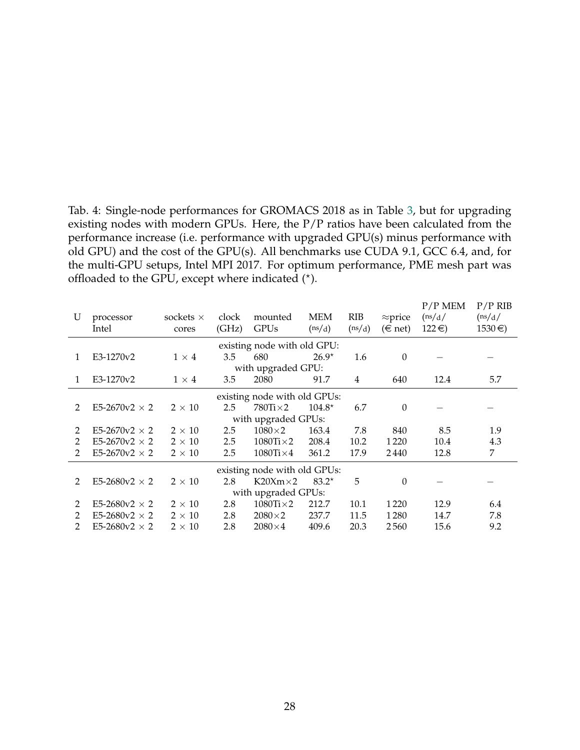<span id="page-27-0"></span>Tab. 4: Single-node performances for GROMACS 2018 as in Table [3,](#page-26-0) but for upgrading existing nodes with modern GPUs. Here, the P/P ratios have been calculated from the performance increase (i.e. performance with upgraded GPU(s) minus performance with old GPU) and the cost of the GPU(s). All benchmarks use CUDA 9.1, GCC 6.4, and, for the multi-GPU setups, Intel MPI 2017. For optimum performance, PME mesh part was offloaded to the GPU, except where indicated  $(*)$ .

|                     |                              |                  |       |                      |          |        |                 | $P/P$ MEM  | $P/P$ RIB  |  |
|---------------------|------------------------------|------------------|-------|----------------------|----------|--------|-----------------|------------|------------|--|
| U                   | processor                    | sockets $\times$ | clock | mounted              | MEM      | RIB    | $\approx$ price | (ns/d)     | (ns/d)     |  |
|                     | Intel                        | cores            | (GHz) | <b>GPUs</b>          | (ns/d)   | (ns/d) | $(\in$ net)     | $122 \in)$ | $1530 \in$ |  |
|                     | existing node with old GPU:  |                  |       |                      |          |        |                 |            |            |  |
| 1                   | E3-1270v2                    | $1 \times 4$     | 3.5   | 680                  | $26.9*$  | 1.6    | $\theta$        |            |            |  |
|                     | with upgraded GPU:           |                  |       |                      |          |        |                 |            |            |  |
| 1                   | E3-1270v2                    | $1 \times 4$     | 3.5   | 2080                 | 91.7     | 4      | 640             | 12.4       | 5.7        |  |
|                     | existing node with old GPUs: |                  |       |                      |          |        |                 |            |            |  |
| 2                   | E5-2670v2 $\times$ 2         | $2 \times 10$    | 2.5   | $780$ Ti $\times$ 2  | $104.8*$ | 6.7    | $\theta$        |            |            |  |
|                     |                              |                  |       | with upgraded GPUs:  |          |        |                 |            |            |  |
| 2                   | E5-2670 $v2 \times 2$        | $2 \times 10$    | 2.5   | $1080\times2$        | 163.4    | 7.8    | 840             | 8.5        | 1.9        |  |
| 2                   | E5-2670 $v2 \times 2$        | $2 \times 10$    | 2.5   | $1080$ Ti $\times$ 2 | 208.4    | 10.2   | 1 2 2 0         | 10.4       | 4.3        |  |
| 2                   | E5-2670v2 $\times$ 2         | $2 \times 10$    | 2.5   | $1080$ Ti $\times$ 4 | 361.2    | 17.9   | 2440            | 12.8       | 7          |  |
|                     | existing node with old GPUs: |                  |       |                      |          |        |                 |            |            |  |
| 2                   | E5-2680v2 $\times$ 2         | $2 \times 10$    | 2.8   | $K20Xm\times2$       | $83.2*$  | 5      | $\Omega$        |            |            |  |
| with upgraded GPUs: |                              |                  |       |                      |          |        |                 |            |            |  |
| 2                   | E5-2680v2 $\times$ 2         | $2 \times 10$    | 2.8   | $1080Ti \times 2$    | 212.7    | 10.1   | 1 2 2 0         | 12.9       | 6.4        |  |
| 2                   | E5-2680v2 $\times$ 2         | $2 \times 10$    | 2.8   | $2080\times2$        | 237.7    | 11.5   | 1280            | 14.7       | 7.8        |  |
| 2                   | E5-2680v2 $\times$ 2         | $2 \times 10$    | 2.8   | $2080\times4$        | 409.6    | 20.3   | 2560            | 15.6       | 9.2        |  |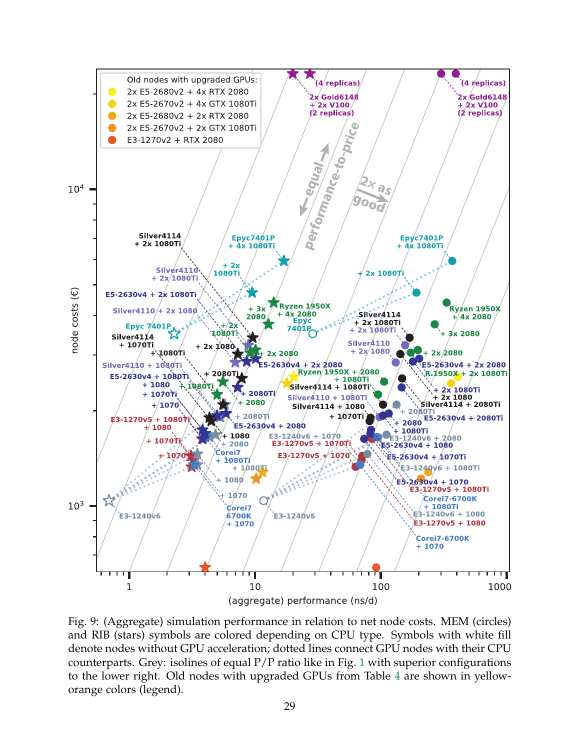<span id="page-28-0"></span>

Fig. 9: (Aggregate) simulation performance in relation to net node costs. MEM (circles) and RIB (stars) symbols are colored depending on CPU type. Symbols with white fill denote nodes without GPU acceleration; dotted lines connect GPU nodes with their CPU counterparts. Grey: isolines of equal  $P/P$  ratio like in Fig. [1](#page-6-0) with superior configurations to the lower right. Old nodes with upgraded GPUs from Table [4](#page-27-0) are shown in yelloworange colors (legend).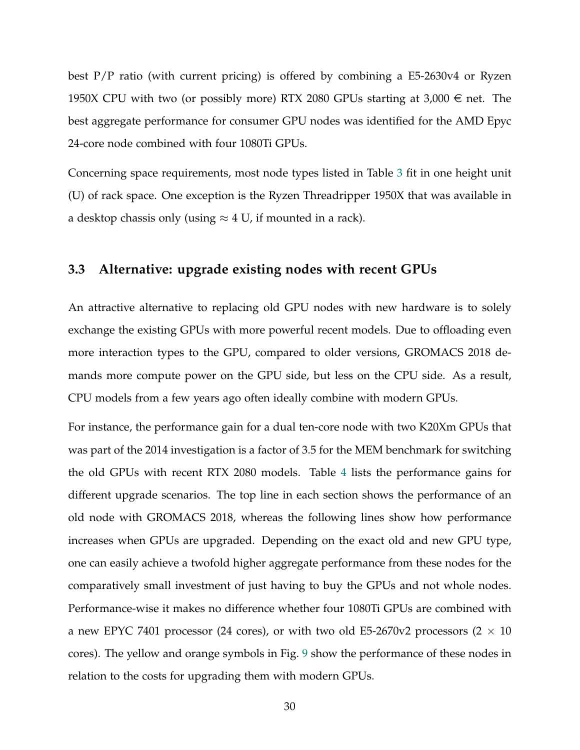best P/P ratio (with current pricing) is offered by combining a E5-2630v4 or Ryzen 1950X CPU with two (or possibly more) RTX 2080 GPUs starting at 3,000  $\in$  net. The best aggregate performance for consumer GPU nodes was identified for the AMD Epyc 24-core node combined with four 1080Ti GPUs.

Concerning space requirements, most node types listed in Table [3](#page-26-0) fit in one height unit (U) of rack space. One exception is the Ryzen Threadripper 1950X that was available in a desktop chassis only (using  $\approx$  4 U, if mounted in a rack).

#### **3.3 Alternative: upgrade existing nodes with recent GPUs**

An attractive alternative to replacing old GPU nodes with new hardware is to solely exchange the existing GPUs with more powerful recent models. Due to offloading even more interaction types to the GPU, compared to older versions, GROMACS 2018 demands more compute power on the GPU side, but less on the CPU side. As a result, CPU models from a few years ago often ideally combine with modern GPUs.

For instance, the performance gain for a dual ten-core node with two K20Xm GPUs that was part of the 2014 investigation is a factor of 3.5 for the MEM benchmark for switching the old GPUs with recent RTX 2080 models. Table [4](#page-27-0) lists the performance gains for different upgrade scenarios. The top line in each section shows the performance of an old node with GROMACS 2018, whereas the following lines show how performance increases when GPUs are upgraded. Depending on the exact old and new GPU type, one can easily achieve a twofold higher aggregate performance from these nodes for the comparatively small investment of just having to buy the GPUs and not whole nodes. Performance-wise it makes no difference whether four 1080Ti GPUs are combined with a new EPYC 7401 processor (24 cores), or with two old E5-2670v2 processors (2  $\times$  10 cores). The yellow and orange symbols in Fig. [9](#page-28-0) show the performance of these nodes in relation to the costs for upgrading them with modern GPUs.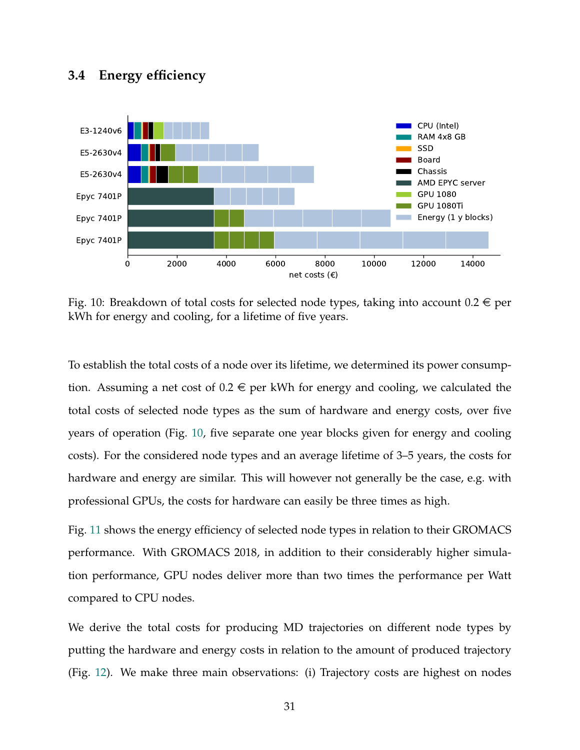## **3.4 Energy efficiency**

<span id="page-30-0"></span>

Fig. 10: Breakdown of total costs for selected node types, taking into account  $0.2 \in$  per kWh for energy and cooling, for a lifetime of five years.

To establish the total costs of a node over its lifetime, we determined its power consumption. Assuming a net cost of  $0.2 \in$  per kWh for energy and cooling, we calculated the total costs of selected node types as the sum of hardware and energy costs, over five years of operation (Fig. [10,](#page-30-0) five separate one year blocks given for energy and cooling costs). For the considered node types and an average lifetime of 3–5 years, the costs for hardware and energy are similar. This will however not generally be the case, e.g. with professional GPUs, the costs for hardware can easily be three times as high.

Fig. [11](#page-31-0) shows the energy efficiency of selected node types in relation to their GROMACS performance. With GROMACS 2018, in addition to their considerably higher simulation performance, GPU nodes deliver more than two times the performance per Watt compared to CPU nodes.

We derive the total costs for producing MD trajectories on different node types by putting the hardware and energy costs in relation to the amount of produced trajectory (Fig. [12\)](#page-32-0). We make three main observations: (i) Trajectory costs are highest on nodes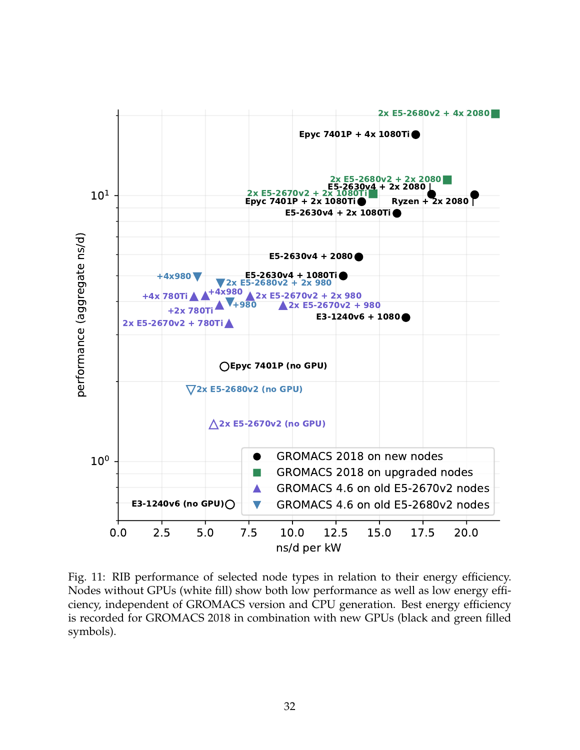<span id="page-31-0"></span>

Fig. 11: RIB performance of selected node types in relation to their energy efficiency. Nodes without GPUs (white fill) show both low performance as well as low energy efficiency, independent of GROMACS version and CPU generation. Best energy efficiency is recorded for GROMACS 2018 in combination with new GPUs (black and green filled symbols).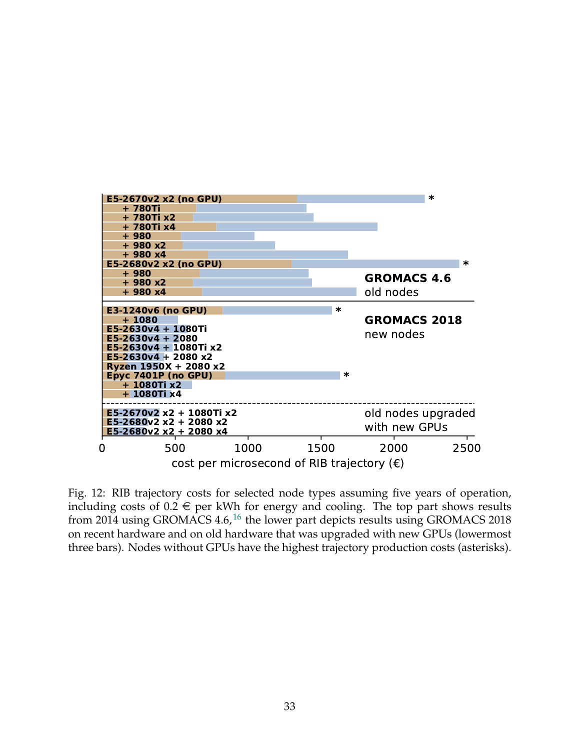<span id="page-32-0"></span>

Fig. 12: RIB trajectory costs for selected node types assuming five years of operation, including costs of  $0.2 \in$  per kWh for energy and cooling. The top part shows results from 2014 using GROMACS  $4.6<sup>16</sup>$  $4.6<sup>16</sup>$  $4.6<sup>16</sup>$ , the lower part depicts results using GROMACS 2018 on recent hardware and on old hardware that was upgraded with new GPUs (lowermost three bars). Nodes without GPUs have the highest trajectory production costs (asterisks).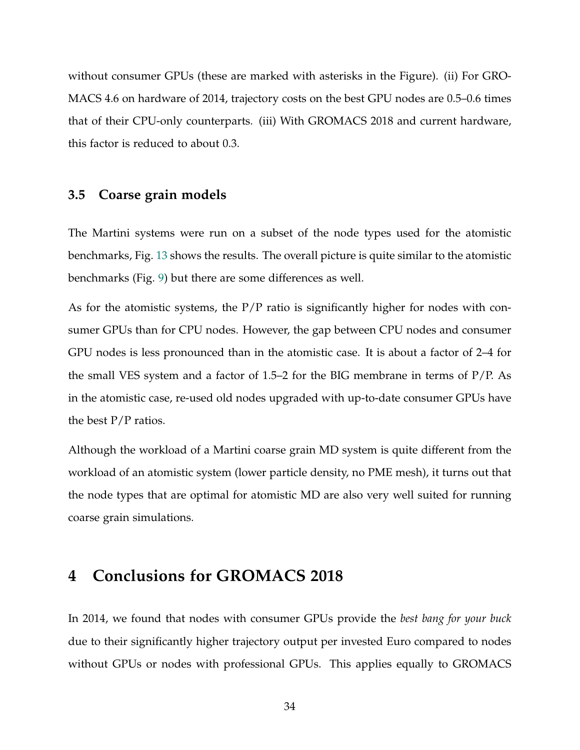without consumer GPUs (these are marked with asterisks in the Figure). (ii) For GRO-MACS 4.6 on hardware of 2014, trajectory costs on the best GPU nodes are 0.5–0.6 times that of their CPU-only counterparts. (iii) With GROMACS 2018 and current hardware, this factor is reduced to about 0.3.

## **3.5 Coarse grain models**

The Martini systems were run on a subset of the node types used for the atomistic benchmarks, Fig. [13](#page-34-0) shows the results. The overall picture is quite similar to the atomistic benchmarks (Fig. [9\)](#page-28-0) but there are some differences as well.

As for the atomistic systems, the  $P/P$  ratio is significantly higher for nodes with consumer GPUs than for CPU nodes. However, the gap between CPU nodes and consumer GPU nodes is less pronounced than in the atomistic case. It is about a factor of 2–4 for the small VES system and a factor of 1.5–2 for the BIG membrane in terms of P/P. As in the atomistic case, re-used old nodes upgraded with up-to-date consumer GPUs have the best  $P/P$  ratios.

Although the workload of a Martini coarse grain MD system is quite different from the workload of an atomistic system (lower particle density, no PME mesh), it turns out that the node types that are optimal for atomistic MD are also very well suited for running coarse grain simulations.

# **4 Conclusions for GROMACS 2018**

In 2014, we found that nodes with consumer GPUs provide the *best bang for your buck* due to their significantly higher trajectory output per invested Euro compared to nodes without GPUs or nodes with professional GPUs. This applies equally to GROMACS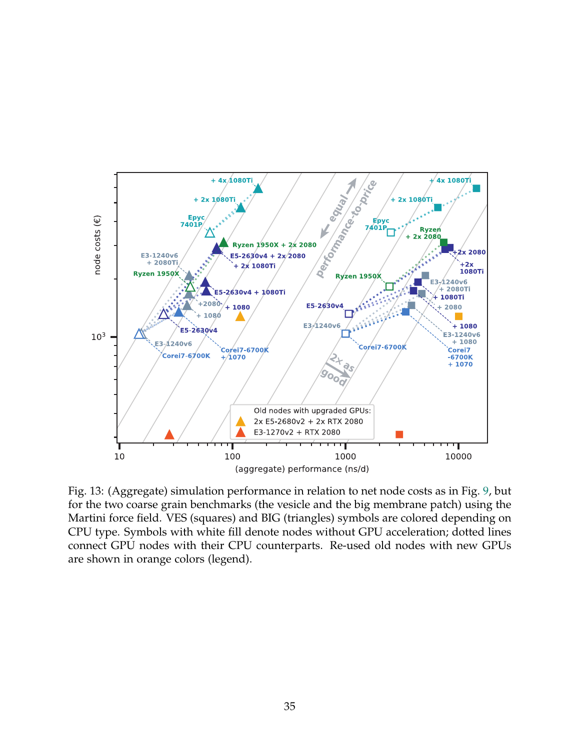<span id="page-34-0"></span>

Fig. 13: (Aggregate) simulation performance in relation to net node costs as in Fig. [9,](#page-28-0) but for the two coarse grain benchmarks (the vesicle and the big membrane patch) using the Martini force field. VES (squares) and BIG (triangles) symbols are colored depending on CPU type. Symbols with white fill denote nodes without GPU acceleration; dotted lines connect GPU nodes with their CPU counterparts. Re-used old nodes with new GPUs are shown in orange colors (legend).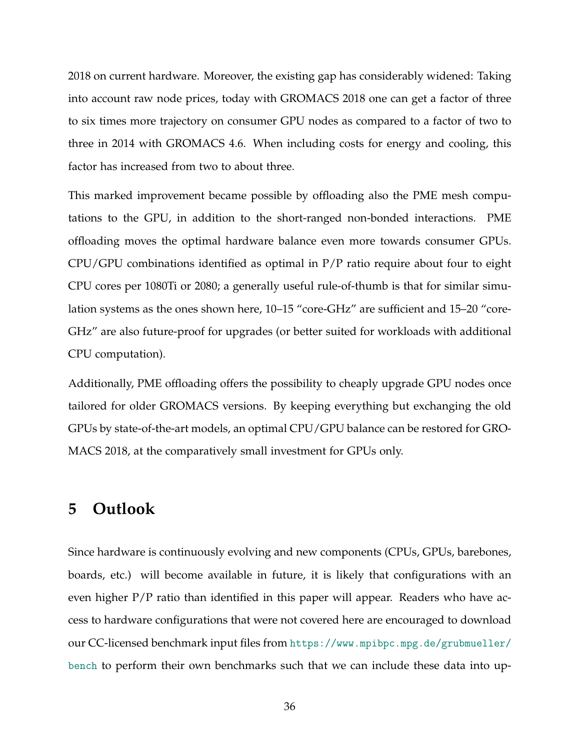2018 on current hardware. Moreover, the existing gap has considerably widened: Taking into account raw node prices, today with GROMACS 2018 one can get a factor of three to six times more trajectory on consumer GPU nodes as compared to a factor of two to three in 2014 with GROMACS 4.6. When including costs for energy and cooling, this factor has increased from two to about three.

This marked improvement became possible by offloading also the PME mesh computations to the GPU, in addition to the short-ranged non-bonded interactions. PME offloading moves the optimal hardware balance even more towards consumer GPUs. CPU/GPU combinations identified as optimal in P/P ratio require about four to eight CPU cores per 1080Ti or 2080; a generally useful rule-of-thumb is that for similar simulation systems as the ones shown here, 10–15 "core-GHz" are sufficient and 15–20 "core-GHz" are also future-proof for upgrades (or better suited for workloads with additional CPU computation).

Additionally, PME offloading offers the possibility to cheaply upgrade GPU nodes once tailored for older GROMACS versions. By keeping everything but exchanging the old GPUs by state-of-the-art models, an optimal CPU/GPU balance can be restored for GRO-MACS 2018, at the comparatively small investment for GPUs only.

# **5 Outlook**

Since hardware is continuously evolving and new components (CPUs, GPUs, barebones, boards, etc.) will become available in future, it is likely that configurations with an even higher P/P ratio than identified in this paper will appear. Readers who have access to hardware configurations that were not covered here are encouraged to download our CC-licensed benchmark input files from [https://www.mpibpc.mpg.de/grubmueller/](https://www.mpibpc.mpg.de/grubmueller/bench) [bench](https://www.mpibpc.mpg.de/grubmueller/bench) to perform their own benchmarks such that we can include these data into up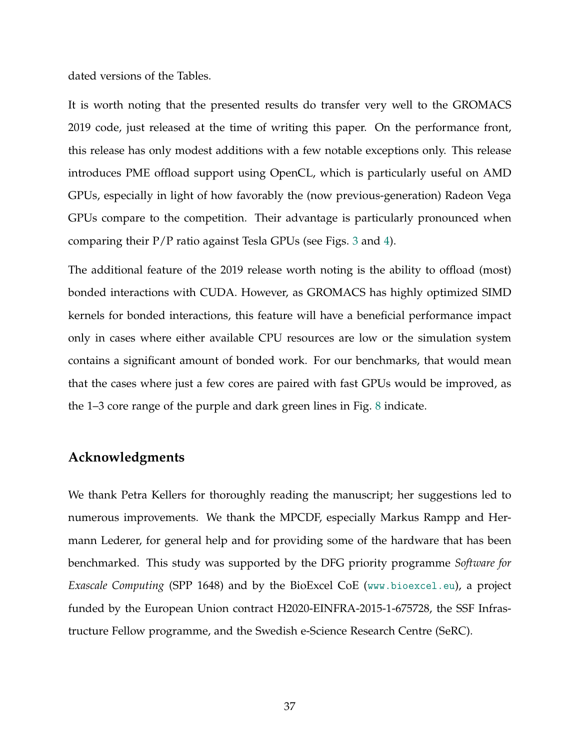dated versions of the Tables.

It is worth noting that the presented results do transfer very well to the GROMACS 2019 code, just released at the time of writing this paper. On the performance front, this release has only modest additions with a few notable exceptions only. This release introduces PME offload support using OpenCL, which is particularly useful on AMD GPUs, especially in light of how favorably the (now previous-generation) Radeon Vega GPUs compare to the competition. Their advantage is particularly pronounced when comparing their P/P ratio against Tesla GPUs (see Figs. [3](#page-11-0) and [4\)](#page-12-0).

The additional feature of the 2019 release worth noting is the ability to offload (most) bonded interactions with CUDA. However, as GROMACS has highly optimized SIMD kernels for bonded interactions, this feature will have a beneficial performance impact only in cases where either available CPU resources are low or the simulation system contains a significant amount of bonded work. For our benchmarks, that would mean that the cases where just a few cores are paired with fast GPUs would be improved, as the 1–3 core range of the purple and dark green lines in Fig. [8](#page-25-0) indicate.

#### **Acknowledgments**

We thank Petra Kellers for thoroughly reading the manuscript; her suggestions led to numerous improvements. We thank the MPCDF, especially Markus Rampp and Hermann Lederer, for general help and for providing some of the hardware that has been benchmarked. This study was supported by the DFG priority programme *Software for Exascale Computing* (SPP 1648) and by the BioExcel CoE (<www.bioexcel.eu>), a project funded by the European Union contract H2020-EINFRA-2015-1-675728, the SSF Infrastructure Fellow programme, and the Swedish e-Science Research Centre (SeRC).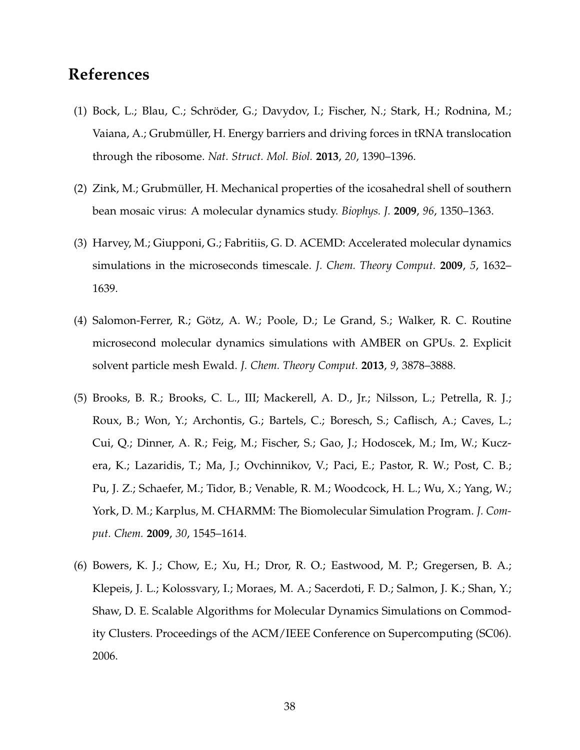# **References**

- <span id="page-37-0"></span>(1) Bock, L.; Blau, C.; Schröder, G.; Davydov, I.; Fischer, N.; Stark, H.; Rodnina, M.; Vaiana, A.; Grubmüller, H. Energy barriers and driving forces in tRNA translocation through the ribosome. *Nat. Struct. Mol. Biol.* **2013**, *20*, 1390–1396.
- <span id="page-37-1"></span>(2) Zink, M.; Grubmüller, H. Mechanical properties of the icosahedral shell of southern bean mosaic virus: A molecular dynamics study. *Biophys. J.* **2009**, *96*, 1350–1363.
- <span id="page-37-2"></span>(3) Harvey, M.; Giupponi, G.; Fabritiis, G. D. ACEMD: Accelerated molecular dynamics simulations in the microseconds timescale. *J. Chem. Theory Comput.* **2009**, *5*, 1632– 1639.
- <span id="page-37-3"></span>(4) Salomon-Ferrer, R.; Götz, A. W.; Poole, D.; Le Grand, S.; Walker, R. C. Routine microsecond molecular dynamics simulations with AMBER on GPUs. 2. Explicit solvent particle mesh Ewald. *J. Chem. Theory Comput.* **2013**, *9*, 3878–3888.
- <span id="page-37-4"></span>(5) Brooks, B. R.; Brooks, C. L., III; Mackerell, A. D., Jr.; Nilsson, L.; Petrella, R. J.; Roux, B.; Won, Y.; Archontis, G.; Bartels, C.; Boresch, S.; Caflisch, A.; Caves, L.; Cui, Q.; Dinner, A. R.; Feig, M.; Fischer, S.; Gao, J.; Hodoscek, M.; Im, W.; Kuczera, K.; Lazaridis, T.; Ma, J.; Ovchinnikov, V.; Paci, E.; Pastor, R. W.; Post, C. B.; Pu, J. Z.; Schaefer, M.; Tidor, B.; Venable, R. M.; Woodcock, H. L.; Wu, X.; Yang, W.; York, D. M.; Karplus, M. CHARMM: The Biomolecular Simulation Program. *J. Comput. Chem.* **2009**, *30*, 1545–1614.
- <span id="page-37-5"></span>(6) Bowers, K. J.; Chow, E.; Xu, H.; Dror, R. O.; Eastwood, M. P.; Gregersen, B. A.; Klepeis, J. L.; Kolossvary, I.; Moraes, M. A.; Sacerdoti, F. D.; Salmon, J. K.; Shan, Y.; Shaw, D. E. Scalable Algorithms for Molecular Dynamics Simulations on Commodity Clusters. Proceedings of the ACM/IEEE Conference on Supercomputing (SC06). 2006.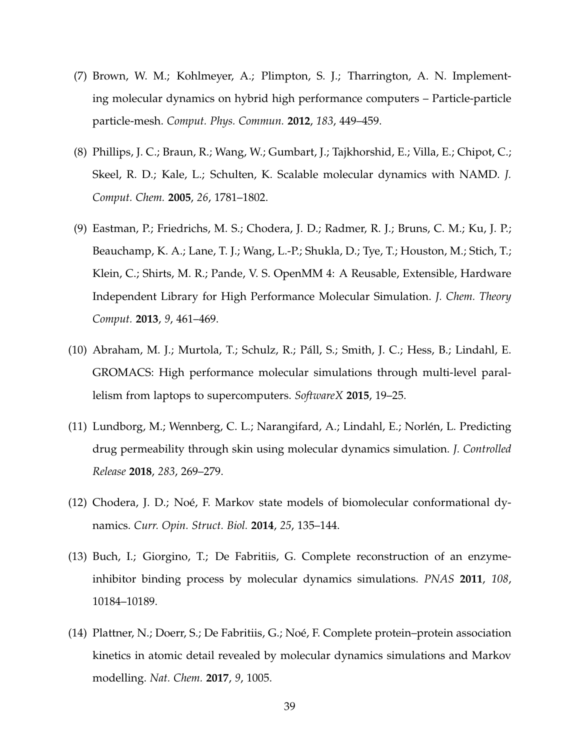- <span id="page-38-0"></span>(7) Brown, W. M.; Kohlmeyer, A.; Plimpton, S. J.; Tharrington, A. N. Implementing molecular dynamics on hybrid high performance computers – Particle-particle particle-mesh. *Comput. Phys. Commun.* **2012**, *183*, 449–459.
- <span id="page-38-1"></span>(8) Phillips, J. C.; Braun, R.; Wang, W.; Gumbart, J.; Tajkhorshid, E.; Villa, E.; Chipot, C.; Skeel, R. D.; Kale, L.; Schulten, K. Scalable molecular dynamics with NAMD. *J. Comput. Chem.* **2005**, *26*, 1781–1802.
- <span id="page-38-2"></span>(9) Eastman, P.; Friedrichs, M. S.; Chodera, J. D.; Radmer, R. J.; Bruns, C. M.; Ku, J. P.; Beauchamp, K. A.; Lane, T. J.; Wang, L.-P.; Shukla, D.; Tye, T.; Houston, M.; Stich, T.; Klein, C.; Shirts, M. R.; Pande, V. S. OpenMM 4: A Reusable, Extensible, Hardware Independent Library for High Performance Molecular Simulation. *J. Chem. Theory Comput.* **2013**, *9*, 461–469.
- <span id="page-38-3"></span>(10) Abraham, M. J.; Murtola, T.; Schulz, R.; Pall, S.; Smith, J. C.; Hess, B.; Lindahl, E. ´ GROMACS: High performance molecular simulations through multi-level parallelism from laptops to supercomputers. *SoftwareX* **2015**, 19–25.
- <span id="page-38-4"></span>(11) Lundborg, M.; Wennberg, C. L.; Narangifard, A.; Lindahl, E.; Norlen, L. Predicting ´ drug permeability through skin using molecular dynamics simulation. *J. Controlled Release* **2018**, *283*, 269–279.
- $(12)$  Chodera, J. D.; Noé, F. Markov state models of biomolecular conformational dynamics. *Curr. Opin. Struct. Biol.* **2014**, *25*, 135–144.
- (13) Buch, I.; Giorgino, T.; De Fabritiis, G. Complete reconstruction of an enzymeinhibitor binding process by molecular dynamics simulations. *PNAS* **2011**, *108*, 10184–10189.
- (14) Plattner, N.; Doerr, S.; De Fabritiis, G.; Noé, F. Complete protein–protein association kinetics in atomic detail revealed by molecular dynamics simulations and Markov modelling. *Nat. Chem.* **2017**, *9*, 1005.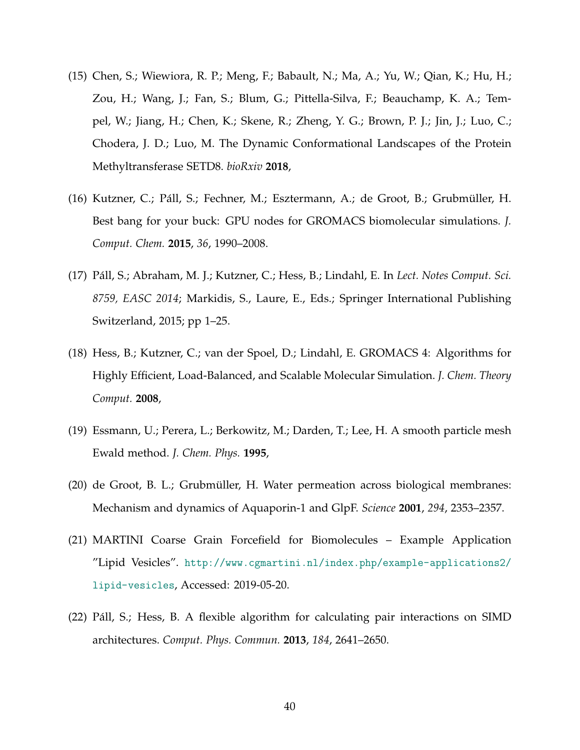- <span id="page-39-0"></span>(15) Chen, S.; Wiewiora, R. P.; Meng, F.; Babault, N.; Ma, A.; Yu, W.; Qian, K.; Hu, H.; Zou, H.; Wang, J.; Fan, S.; Blum, G.; Pittella-Silva, F.; Beauchamp, K. A.; Tempel, W.; Jiang, H.; Chen, K.; Skene, R.; Zheng, Y. G.; Brown, P. J.; Jin, J.; Luo, C.; Chodera, J. D.; Luo, M. The Dynamic Conformational Landscapes of the Protein Methyltransferase SETD8. *bioRxiv* **2018**,
- <span id="page-39-1"></span>(16) Kutzner, C.; Páll, S.; Fechner, M.; Esztermann, A.; de Groot, B.; Grubmüller, H. Best bang for your buck: GPU nodes for GROMACS biomolecular simulations. *J. Comput. Chem.* **2015**, *36*, 1990–2008.
- <span id="page-39-2"></span>(17) Pall, S.; Abraham, M. J.; Kutzner, C.; Hess, B.; Lindahl, E. In ´ *Lect. Notes Comput. Sci. 8759, EASC 2014*; Markidis, S., Laure, E., Eds.; Springer International Publishing Switzerland, 2015; pp 1–25.
- <span id="page-39-3"></span>(18) Hess, B.; Kutzner, C.; van der Spoel, D.; Lindahl, E. GROMACS 4: Algorithms for Highly Efficient, Load-Balanced, and Scalable Molecular Simulation. *J. Chem. Theory Comput.* **2008**,
- <span id="page-39-4"></span>(19) Essmann, U.; Perera, L.; Berkowitz, M.; Darden, T.; Lee, H. A smooth particle mesh Ewald method. *J. Chem. Phys.* **1995**,
- <span id="page-39-5"></span>(20) de Groot, B. L.; Grubmüller, H. Water permeation across biological membranes: Mechanism and dynamics of Aquaporin-1 and GlpF. *Science* **2001**, *294*, 2353–2357.
- <span id="page-39-6"></span>(21) MARTINI Coarse Grain Forcefield for Biomolecules – Example Application "Lipid Vesicles". [http://www.cgmartini.nl/index.php/example-applications2/](http://www.cgmartini.nl/index.php/example-applications2/lipid-vesicles) [lipid-vesicles](http://www.cgmartini.nl/index.php/example-applications2/lipid-vesicles), Accessed: 2019-05-20.
- <span id="page-39-7"></span>(22) Pall, S.; Hess, B. A flexible algorithm for calculating pair interactions on SIMD ´ architectures. *Comput. Phys. Commun.* **2013**, *184*, 2641–2650.